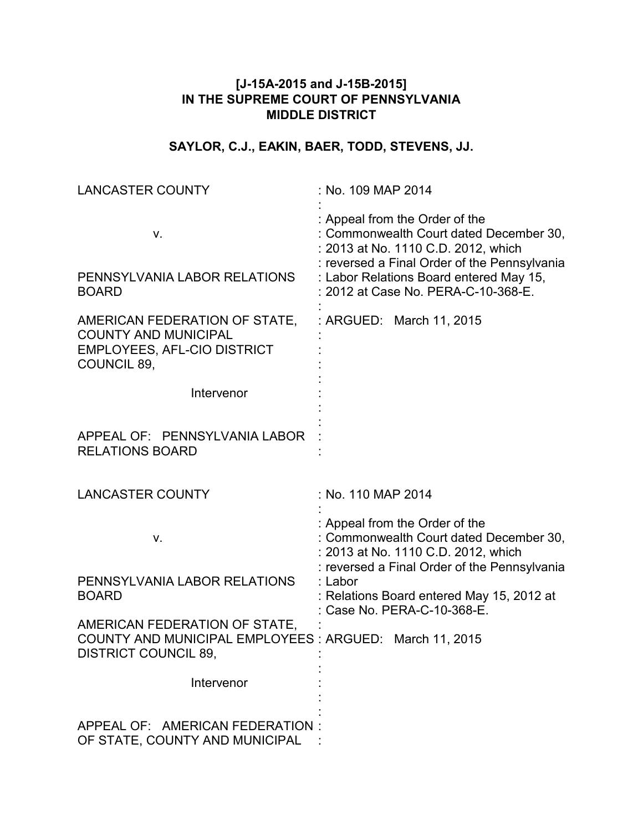# **[J-15A-2015 and J-15B-2015] IN THE SUPREME COURT OF PENNSYLVANIA MIDDLE DISTRICT**

# **SAYLOR, C.J., EAKIN, BAER, TODD, STEVENS, JJ.**

| <b>LANCASTER COUNTY</b>                                                                                                  | : No. 109 MAP 2014                                                                                                                                                                                                                                 |
|--------------------------------------------------------------------------------------------------------------------------|----------------------------------------------------------------------------------------------------------------------------------------------------------------------------------------------------------------------------------------------------|
| ν.<br>PENNSYLVANIA LABOR RELATIONS<br><b>BOARD</b>                                                                       | : Appeal from the Order of the<br>: Commonwealth Court dated December 30,<br>: 2013 at No. 1110 C.D. 2012, which<br>: reversed a Final Order of the Pennsylvania<br>: Labor Relations Board entered May 15,<br>: 2012 at Case No. PERA-C-10-368-E. |
| AMERICAN FEDERATION OF STATE,<br><b>COUNTY AND MUNICIPAL</b><br><b>EMPLOYEES, AFL-CIO DISTRICT</b><br><b>COUNCIL 89,</b> | : ARGUED: March 11, 2015                                                                                                                                                                                                                           |
| Intervenor                                                                                                               |                                                                                                                                                                                                                                                    |
| APPEAL OF: PENNSYLVANIA LABOR<br><b>RELATIONS BOARD</b>                                                                  |                                                                                                                                                                                                                                                    |
| <b>LANCASTER COUNTY</b>                                                                                                  | : No. 110 MAP 2014                                                                                                                                                                                                                                 |
| V.                                                                                                                       | : Appeal from the Order of the<br>: Commonwealth Court dated December 30,<br>: 2013 at No. 1110 C.D. 2012, which<br>: reversed a Final Order of the Pennsylvania                                                                                   |
| PENNSYLVANIA LABOR RELATIONS<br><b>BOARD</b>                                                                             | : Labor<br>: Relations Board entered May 15, 2012 at<br>Case No. PERA-C-10-368-E.                                                                                                                                                                  |
| AMERICAN FEDERATION OF STATE,<br>COUNTY AND MUNICIPAL EMPLOYEES : ARGUED: March 11, 2015<br><b>DISTRICT COUNCIL 89,</b>  |                                                                                                                                                                                                                                                    |
| Intervenor                                                                                                               |                                                                                                                                                                                                                                                    |
| APPEAL OF: AMERICAN FEDERATION:<br>OF STATE, COUNTY AND MUNICIPAL                                                        |                                                                                                                                                                                                                                                    |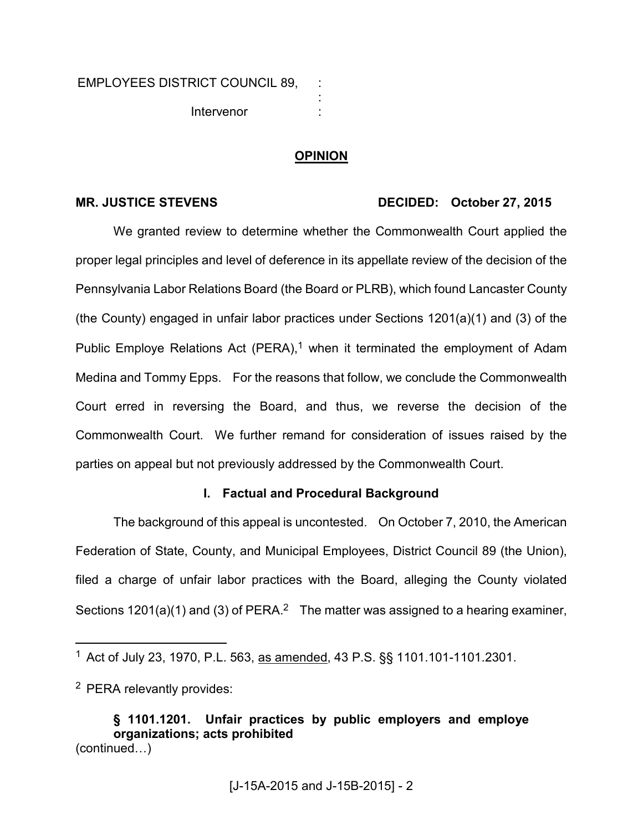## **OPINION**

: : :

## MR. JUSTICE STEVENS DECIDED: October 27, 2015

We granted review to determine whether the Commonwealth Court applied the proper legal principles and level of deference in its appellate review of the decision of the Pennsylvania Labor Relations Board (the Board or PLRB), which found Lancaster County (the County) engaged in unfair labor practices under Sections 1201(a)(1) and (3) of the Public Employe Relations Act (PERA),<sup>1</sup> when it terminated the employment of Adam Medina and Tommy Epps. For the reasons that follow, we conclude the Commonwealth Court erred in reversing the Board, and thus, we reverse the decision of the Commonwealth Court. We further remand for consideration of issues raised by the parties on appeal but not previously addressed by the Commonwealth Court.

### **I. Factual and Procedural Background**

The background of this appeal is uncontested. On October 7, 2010, the American Federation of State, County, and Municipal Employees, District Council 89 (the Union), filed a charge of unfair labor practices with the Board, alleging the County violated Sections  $1201(a)(1)$  and (3) of PERA.<sup>2</sup> The matter was assigned to a hearing examiner,

<sup>2</sup> PERA relevantly provides:

 $\overline{a}$ 

**§ 1101.1201. Unfair practices by public employers and employe organizations; acts prohibited**   $(continued...)$ 

<sup>&</sup>lt;sup>1</sup> Act of July 23, 1970, P.L. 563, as amended, 43 P.S. §§ 1101.101-1101.2301.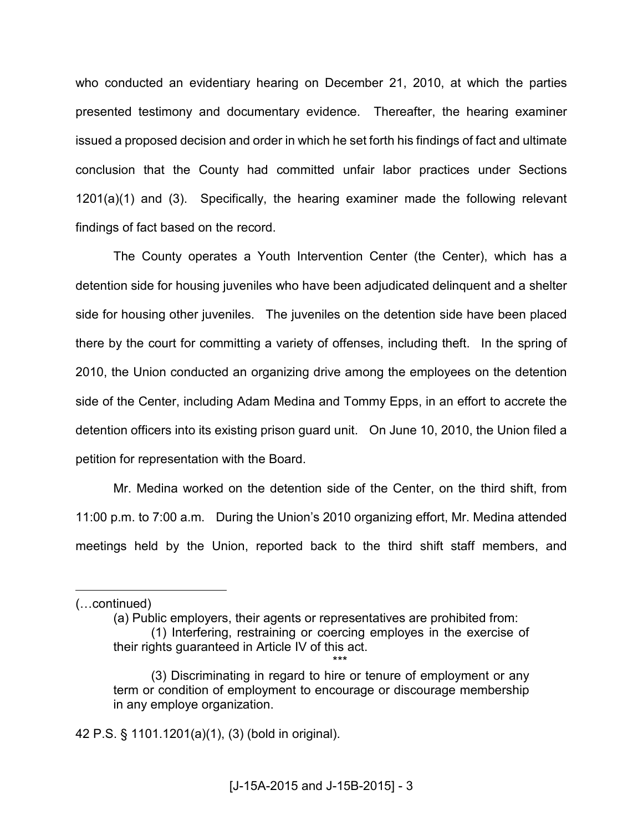who conducted an evidentiary hearing on December 21, 2010, at which the parties presented testimony and documentary evidence. Thereafter, the hearing examiner issued a proposed decision and order in which he set forth his findings of fact and ultimate conclusion that the County had committed unfair labor practices under Sections 1201(a)(1) and (3). Specifically, the hearing examiner made the following relevant findings of fact based on the record.

 The County operates a Youth Intervention Center (the Center), which has a detention side for housing juveniles who have been adjudicated delinquent and a shelter side for housing other juveniles. The juveniles on the detention side have been placed there by the court for committing a variety of offenses, including theft. In the spring of 2010, the Union conducted an organizing drive among the employees on the detention side of the Center, including Adam Medina and Tommy Epps, in an effort to accrete the detention officers into its existing prison guard unit. On June 10, 2010, the Union filed a petition for representation with the Board.

 Mr. Medina worked on the detention side of the Center, on the third shift, from 11:00 p.m. to 7:00 a.m. During the Union's 2010 organizing effort, Mr. Medina attended meetings held by the Union, reported back to the third shift staff members, and

 $\overline{a}$ 

42 P.S. § 1101.1201(a)(1), (3) (bold in original).

<sup>(...</sup>continued)

<sup>(</sup>a) Public employers, their agents or representatives are prohibited from:

<sup>(1)</sup> Interfering, restraining or coercing employes in the exercise of their rights guaranteed in Article IV of this act.

<sup>\*\*\*</sup>  (3) Discriminating in regard to hire or tenure of employment or any term or condition of employment to encourage or discourage membership in any employe organization.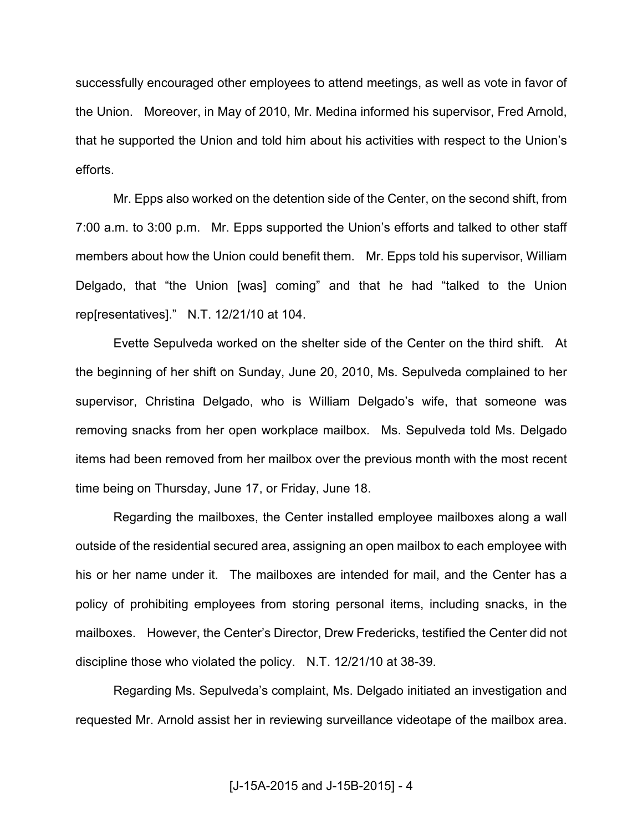successfully encouraged other employees to attend meetings, as well as vote in favor of the Union. Moreover, in May of 2010, Mr. Medina informed his supervisor, Fred Arnold, that he supported the Union and told him about his activities with respect to the Union's efforts.

 Mr. Epps also worked on the detention side of the Center, on the second shift, from 7:00 a.m. to 3:00 p.m. Mr. Epps supported the Union's efforts and talked to other staff members about how the Union could benefit them. Mr. Epps told his supervisor, William Delgado, that "the Union [was] coming" and that he had "talked to the Union rep[resentatives]." N.T. 12/21/10 at 104.

Evette Sepulveda worked on the shelter side of the Center on the third shift. At the beginning of her shift on Sunday, June 20, 2010, Ms. Sepulveda complained to her supervisor, Christina Delgado, who is William Delgado's wife, that someone was removing snacks from her open workplace mailbox. Ms. Sepulveda told Ms. Delgado items had been removed from her mailbox over the previous month with the most recent time being on Thursday, June 17, or Friday, June 18.

Regarding the mailboxes, the Center installed employee mailboxes along a wall outside of the residential secured area, assigning an open mailbox to each employee with his or her name under it. The mailboxes are intended for mail, and the Center has a policy of prohibiting employees from storing personal items, including snacks, in the mailboxes. However, the Center's Director, Drew Fredericks, testified the Center did not discipline those who violated the policy. N.T. 12/21/10 at 38-39.

Regarding Ms. Sepulveda's complaint, Ms. Delgado initiated an investigation and requested Mr. Arnold assist her in reviewing surveillance videotape of the mailbox area.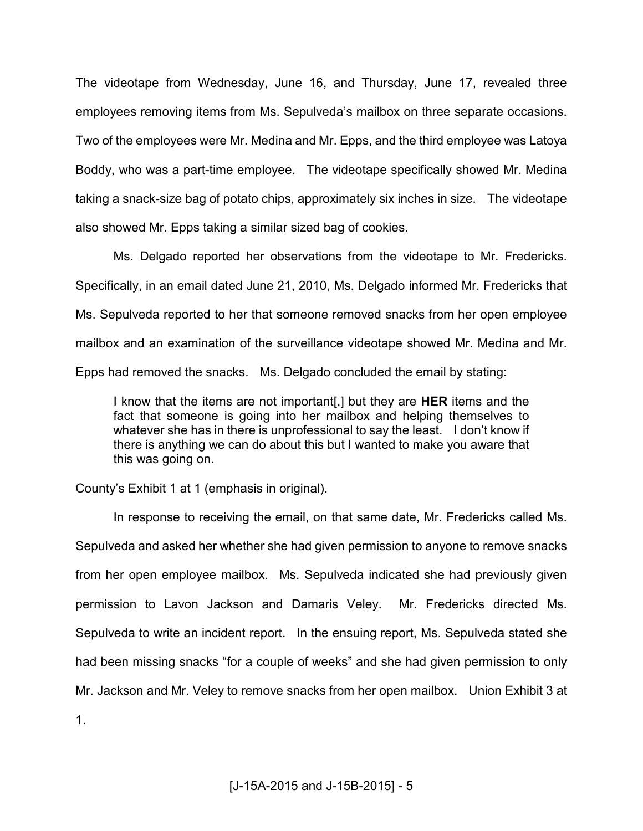The videotape from Wednesday, June 16, and Thursday, June 17, revealed three employees removing items from Ms. Sepulveda's mailbox on three separate occasions. Two of the employees were Mr. Medina and Mr. Epps, and the third employee was Latoya Boddy, who was a part-time employee. The videotape specifically showed Mr. Medina taking a snack-size bag of potato chips, approximately six inches in size. The videotape also showed Mr. Epps taking a similar sized bag of cookies.

Ms. Delgado reported her observations from the videotape to Mr. Fredericks. Specifically, in an email dated June 21, 2010, Ms. Delgado informed Mr. Fredericks that Ms. Sepulveda reported to her that someone removed snacks from her open employee mailbox and an examination of the surveillance videotape showed Mr. Medina and Mr. Epps had removed the snacks. Ms. Delgado concluded the email by stating:

I know that the items are not important[,] but they are **HER** items and the fact that someone is going into her mailbox and helping themselves to whatever she has in there is unprofessional to say the least. I don't know if there is anything we can do about this but I wanted to make you aware that this was going on.

County's Exhibit 1 at 1 (emphasis in original).

 In response to receiving the email, on that same date, Mr. Fredericks called Ms. Sepulveda and asked her whether she had given permission to anyone to remove snacks from her open employee mailbox. Ms. Sepulveda indicated she had previously given permission to Lavon Jackson and Damaris Veley. Mr. Fredericks directed Ms. Sepulveda to write an incident report. In the ensuing report, Ms. Sepulveda stated she had been missing snacks "for a couple of weeks" and she had given permission to only Mr. Jackson and Mr. Veley to remove snacks from her open mailbox. Union Exhibit 3 at 1.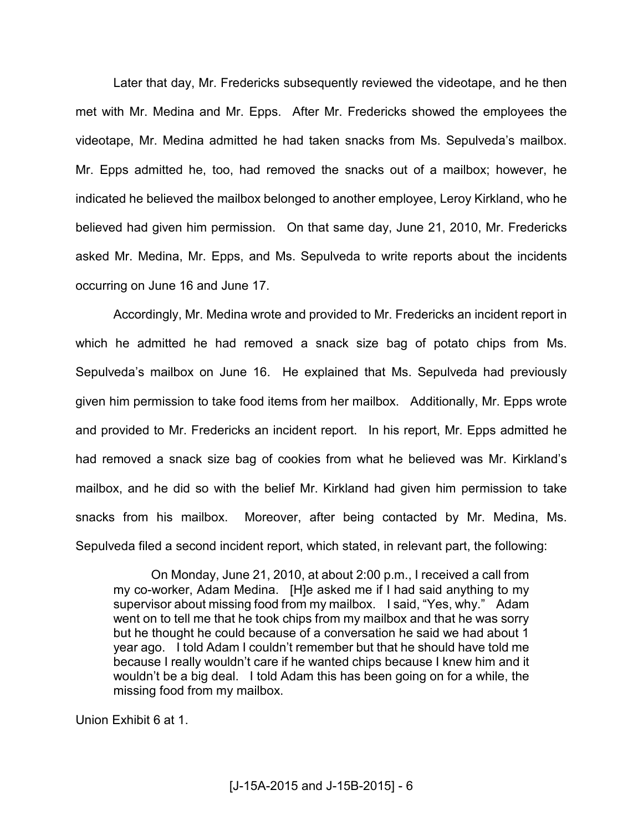Later that day, Mr. Fredericks subsequently reviewed the videotape, and he then met with Mr. Medina and Mr. Epps. After Mr. Fredericks showed the employees the videotape, Mr. Medina admitted he had taken snacks from Ms. Sepulveda's mailbox. Mr. Epps admitted he, too, had removed the snacks out of a mailbox; however, he indicated he believed the mailbox belonged to another employee, Leroy Kirkland, who he believed had given him permission. On that same day, June 21, 2010, Mr. Fredericks asked Mr. Medina, Mr. Epps, and Ms. Sepulveda to write reports about the incidents occurring on June 16 and June 17.

 Accordingly, Mr. Medina wrote and provided to Mr. Fredericks an incident report in which he admitted he had removed a snack size bag of potato chips from Ms. Sepulveda's mailbox on June 16. He explained that Ms. Sepulveda had previously given him permission to take food items from her mailbox. Additionally, Mr. Epps wrote and provided to Mr. Fredericks an incident report. In his report, Mr. Epps admitted he had removed a snack size bag of cookies from what he believed was Mr. Kirkland's mailbox, and he did so with the belief Mr. Kirkland had given him permission to take snacks from his mailbox. Moreover, after being contacted by Mr. Medina, Ms. Sepulveda filed a second incident report, which stated, in relevant part, the following:

 On Monday, June 21, 2010, at about 2:00 p.m., I received a call from my co-worker, Adam Medina. [H]e asked me if I had said anything to my supervisor about missing food from my mailbox. I said, "Yes, why." Adam went on to tell me that he took chips from my mailbox and that he was sorry but he thought he could because of a conversation he said we had about 1 year ago. I told Adam I couldn't remember but that he should have told me because I really wouldn't care if he wanted chips because I knew him and it wouldn't be a big deal. I told Adam this has been going on for a while, the missing food from my mailbox.

Union Exhibit 6 at 1.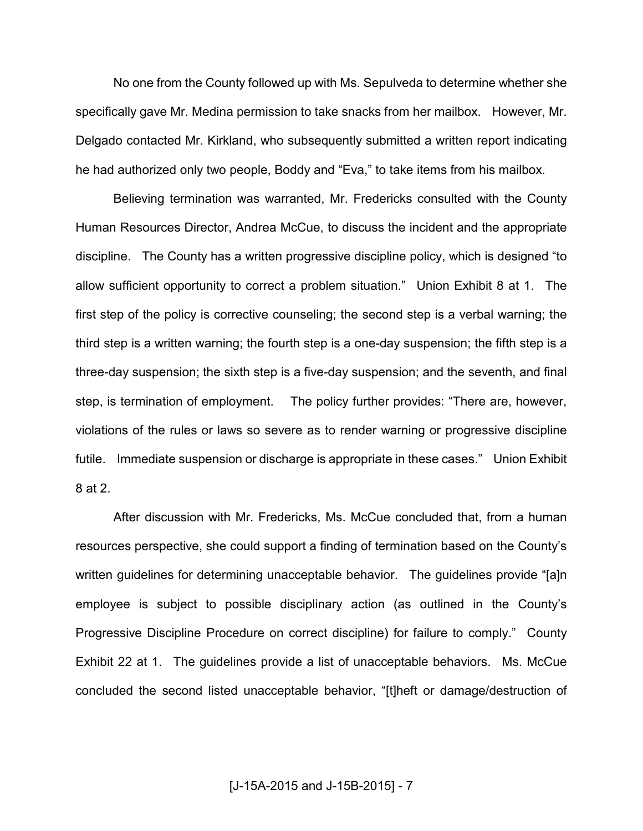No one from the County followed up with Ms. Sepulveda to determine whether she specifically gave Mr. Medina permission to take snacks from her mailbox. However, Mr. Delgado contacted Mr. Kirkland, who subsequently submitted a written report indicating he had authorized only two people, Boddy and "Eva," to take items from his mailbox.

 Believing termination was warranted, Mr. Fredericks consulted with the County Human Resources Director, Andrea McCue, to discuss the incident and the appropriate discipline. The County has a written progressive discipline policy, which is designed "to allow sufficient opportunity to correct a problem situation." Union Exhibit 8 at 1. The first step of the policy is corrective counseling; the second step is a verbal warning; the third step is a written warning; the fourth step is a one-day suspension; the fifth step is a three-day suspension; the sixth step is a five-day suspension; and the seventh, and final step, is termination of employment. The policy further provides: "There are, however, violations of the rules or laws so severe as to render warning or progressive discipline futile. Immediate suspension or discharge is appropriate in these cases." Union Exhibit 8 at 2.

After discussion with Mr. Fredericks, Ms. McCue concluded that, from a human resources perspective, she could support a finding of termination based on the County's written guidelines for determining unacceptable behavior. The guidelines provide "[a]n employee is subject to possible disciplinary action (as outlined in the County's Progressive Discipline Procedure on correct discipline) for failure to comply." County Exhibit 22 at 1. The guidelines provide a list of unacceptable behaviors. Ms. McCue concluded the second listed unacceptable behavior, "[t]heft or damage/destruction of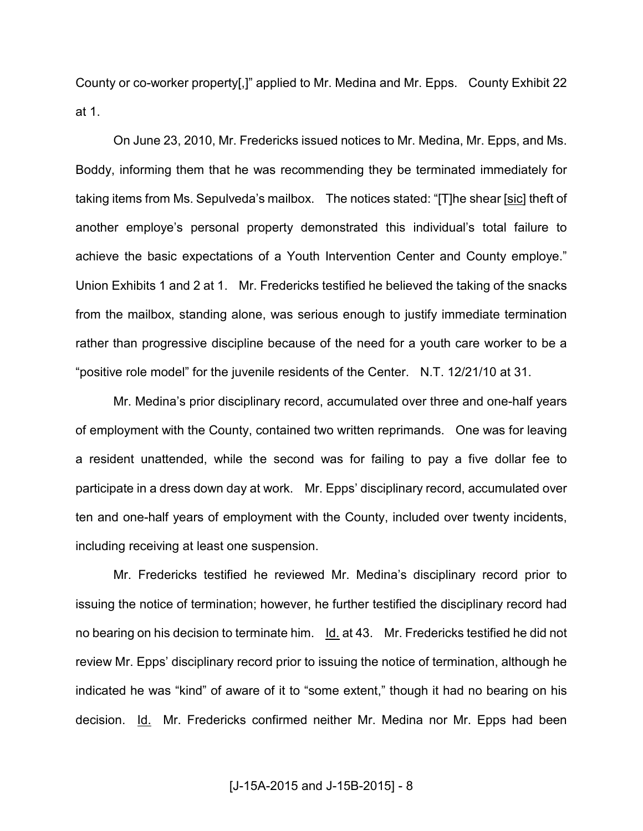County or co-worker property[,]" applied to Mr. Medina and Mr. Epps. County Exhibit 22 at 1.

On June 23, 2010, Mr. Fredericks issued notices to Mr. Medina, Mr. Epps, and Ms. Boddy, informing them that he was recommending they be terminated immediately for taking items from Ms. Sepulveda's mailbox. The notices stated: "[T]he shear [sic] theft of another employe's personal property demonstrated this individual's total failure to achieve the basic expectations of a Youth Intervention Center and County employe." Union Exhibits 1 and 2 at 1. Mr. Fredericks testified he believed the taking of the snacks from the mailbox, standing alone, was serious enough to justify immediate termination rather than progressive discipline because of the need for a youth care worker to be a "positive role model" for the juvenile residents of the Center. N.T. 12/21/10 at 31.

Mr. Medina's prior disciplinary record, accumulated over three and one-half years of employment with the County, contained two written reprimands. One was for leaving a resident unattended, while the second was for failing to pay a five dollar fee to participate in a dress down day at work. Mr. Epps' disciplinary record, accumulated over ten and one-half years of employment with the County, included over twenty incidents, including receiving at least one suspension.

Mr. Fredericks testified he reviewed Mr. Medina's disciplinary record prior to issuing the notice of termination; however, he further testified the disciplinary record had no bearing on his decision to terminate him. Id. at 43. Mr. Fredericks testified he did not review Mr. Epps' disciplinary record prior to issuing the notice of termination, although he indicated he was "kind" of aware of it to "some extent," though it had no bearing on his decision. Id. Mr. Fredericks confirmed neither Mr. Medina nor Mr. Epps had been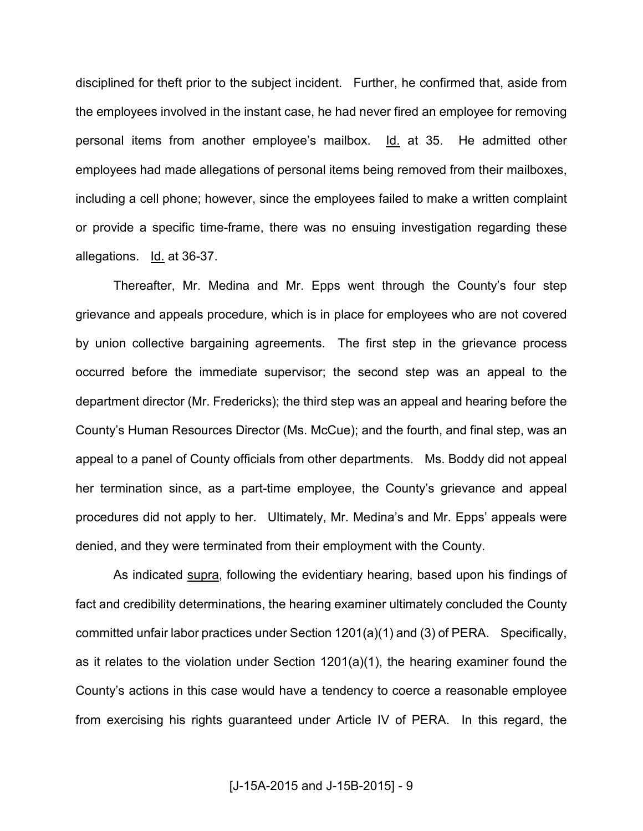disciplined for theft prior to the subject incident. Further, he confirmed that, aside from the employees involved in the instant case, he had never fired an employee for removing personal items from another employee's mailbox. Id. at 35. He admitted other employees had made allegations of personal items being removed from their mailboxes, including a cell phone; however, since the employees failed to make a written complaint or provide a specific time-frame, there was no ensuing investigation regarding these allegations. Id. at 36-37.

Thereafter, Mr. Medina and Mr. Epps went through the County's four step grievance and appeals procedure, which is in place for employees who are not covered by union collective bargaining agreements. The first step in the grievance process occurred before the immediate supervisor; the second step was an appeal to the department director (Mr. Fredericks); the third step was an appeal and hearing before the County's Human Resources Director (Ms. McCue); and the fourth, and final step, was an appeal to a panel of County officials from other departments. Ms. Boddy did not appeal her termination since, as a part-time employee, the County's grievance and appeal procedures did not apply to her. Ultimately, Mr. Medina's and Mr. Epps' appeals were denied, and they were terminated from their employment with the County.

As indicated supra, following the evidentiary hearing, based upon his findings of fact and credibility determinations, the hearing examiner ultimately concluded the County committed unfair labor practices under Section 1201(a)(1) and (3) of PERA. Specifically, as it relates to the violation under Section 1201(a)(1), the hearing examiner found the County's actions in this case would have a tendency to coerce a reasonable employee from exercising his rights guaranteed under Article IV of PERA. In this regard, the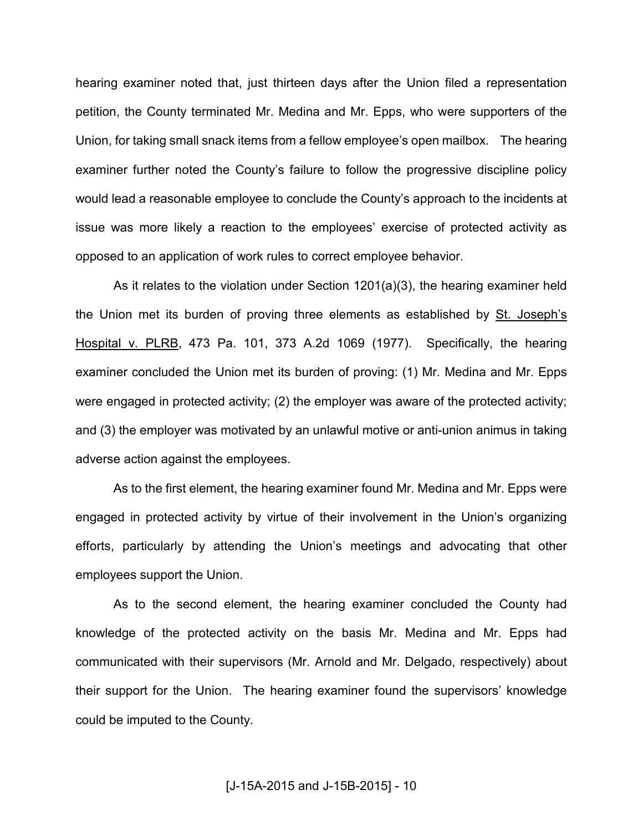hearing examiner noted that, just thirteen days after the Union filed a representation petition, the County terminated Mr. Medina and Mr. Epps, who were supporters of the Union, for taking small snack items from a fellow employee's open mailbox. The hearing examiner further noted the County's failure to follow the progressive discipline policy would lead a reasonable employee to conclude the County's approach to the incidents at issue was more likely a reaction to the employees' exercise of protected activity as opposed to an application of work rules to correct employee behavior.

As it relates to the violation under Section 1201(a)(3), the hearing examiner held the Union met its burden of proving three elements as established by St. Joseph's Hospital v. PLRB, 473 Pa. 101, 373 A.2d 1069 (1977). Specifically, the hearing examiner concluded the Union met its burden of proving: (1) Mr. Medina and Mr. Epps were engaged in protected activity; (2) the employer was aware of the protected activity; and (3) the employer was motivated by an unlawful motive or anti-union animus in taking adverse action against the employees.

As to the first element, the hearing examiner found Mr. Medina and Mr. Epps were engaged in protected activity by virtue of their involvement in the Union's organizing efforts, particularly by attending the Union's meetings and advocating that other employees support the Union.

As to the second element, the hearing examiner concluded the County had knowledge of the protected activity on the basis Mr. Medina and Mr. Epps had communicated with their supervisors (Mr. Arnold and Mr. Delgado, respectively) about their support for the Union. The hearing examiner found the supervisors' knowledge could be imputed to the County.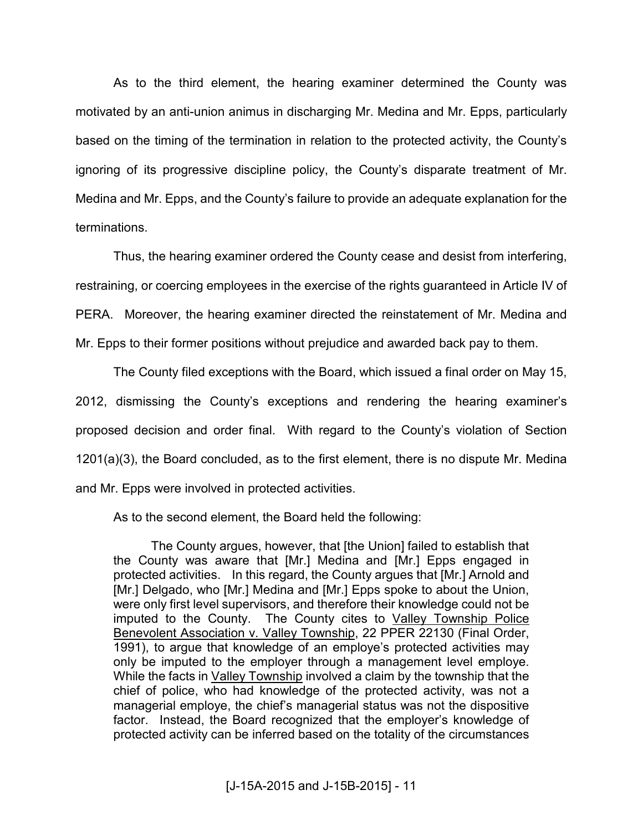As to the third element, the hearing examiner determined the County was motivated by an anti-union animus in discharging Mr. Medina and Mr. Epps, particularly based on the timing of the termination in relation to the protected activity, the County's ignoring of its progressive discipline policy, the County's disparate treatment of Mr. Medina and Mr. Epps, and the County's failure to provide an adequate explanation for the terminations.

Thus, the hearing examiner ordered the County cease and desist from interfering, restraining, or coercing employees in the exercise of the rights guaranteed in Article IV of PERA. Moreover, the hearing examiner directed the reinstatement of Mr. Medina and Mr. Epps to their former positions without prejudice and awarded back pay to them.

The County filed exceptions with the Board, which issued a final order on May 15, 2012, dismissing the County's exceptions and rendering the hearing examiner's proposed decision and order final. With regard to the County's violation of Section 1201(a)(3), the Board concluded, as to the first element, there is no dispute Mr. Medina and Mr. Epps were involved in protected activities.

As to the second element, the Board held the following:

The County argues, however, that [the Union] failed to establish that the County was aware that [Mr.] Medina and [Mr.] Epps engaged in protected activities. In this regard, the County argues that [Mr.] Arnold and [Mr.] Delgado, who [Mr.] Medina and [Mr.] Epps spoke to about the Union, were only first level supervisors, and therefore their knowledge could not be imputed to the County. The County cites to Valley Township Police Benevolent Association v. Valley Township, 22 PPER 22130 (Final Order, 1991), to argue that knowledge of an employe's protected activities may only be imputed to the employer through a management level employe. While the facts in Valley Township involved a claim by the township that the chief of police, who had knowledge of the protected activity, was not a managerial employe, the chief's managerial status was not the dispositive factor. Instead, the Board recognized that the employer's knowledge of protected activity can be inferred based on the totality of the circumstances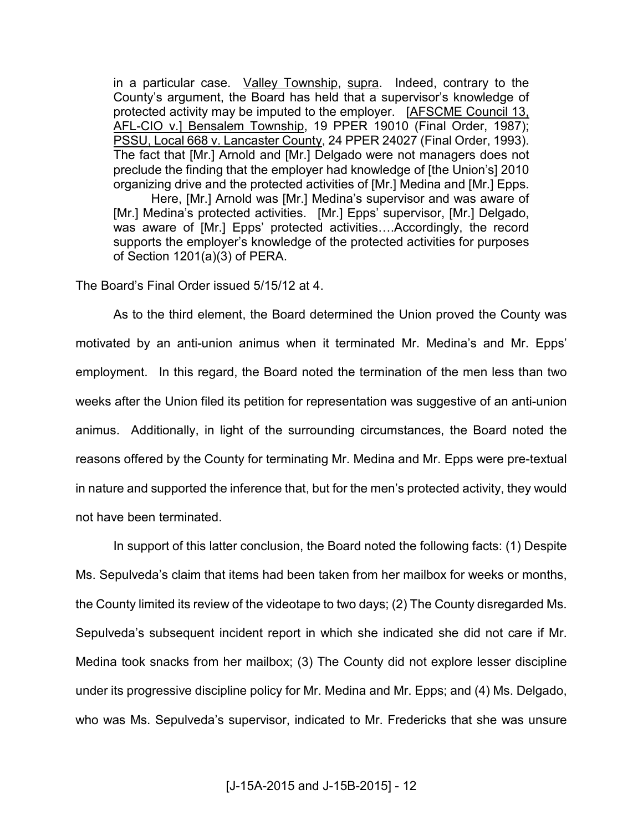in a particular case. Valley Township, supra. Indeed, contrary to the County's argument, the Board has held that a supervisor's knowledge of protected activity may be imputed to the employer. [AFSCME Council 13, AFL-CIO v.] Bensalem Township, 19 PPER 19010 (Final Order, 1987); PSSU, Local 668 v. Lancaster County, 24 PPER 24027 (Final Order, 1993). The fact that [Mr.] Arnold and [Mr.] Delgado were not managers does not preclude the finding that the employer had knowledge of [the Union's] 2010 organizing drive and the protected activities of [Mr.] Medina and [Mr.] Epps.

Here, [Mr.] Arnold was [Mr.] Medina's supervisor and was aware of [Mr.] Medina's protected activities. [Mr.] Epps' supervisor, [Mr.] Delgado, was aware of [Mr.] Epps' protected activities....Accordingly, the record supports the employer's knowledge of the protected activities for purposes of Section 1201(a)(3) of PERA.

The Board's Final Order issued 5/15/12 at 4.

 As to the third element, the Board determined the Union proved the County was motivated by an anti-union animus when it terminated Mr. Medina's and Mr. Epps' employment. In this regard, the Board noted the termination of the men less than two weeks after the Union filed its petition for representation was suggestive of an anti-union animus. Additionally, in light of the surrounding circumstances, the Board noted the reasons offered by the County for terminating Mr. Medina and Mr. Epps were pre-textual in nature and supported the inference that, but for the men's protected activity, they would not have been terminated.

 In support of this latter conclusion, the Board noted the following facts: (1) Despite Ms. Sepulveda's claim that items had been taken from her mailbox for weeks or months, the County limited its review of the videotape to two days; (2) The County disregarded Ms. Sepulveda's subsequent incident report in which she indicated she did not care if Mr. Medina took snacks from her mailbox; (3) The County did not explore lesser discipline under its progressive discipline policy for Mr. Medina and Mr. Epps; and (4) Ms. Delgado, who was Ms. Sepulveda's supervisor, indicated to Mr. Fredericks that she was unsure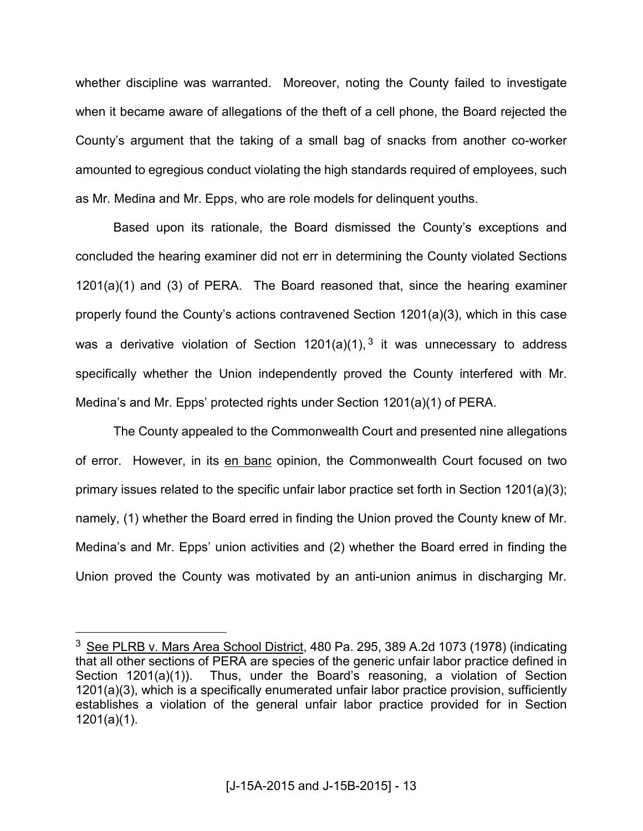whether discipline was warranted. Moreover, noting the County failed to investigate when it became aware of allegations of the theft of a cell phone, the Board rejected the County's argument that the taking of a small bag of snacks from another co-worker amounted to egregious conduct violating the high standards required of employees, such as Mr. Medina and Mr. Epps, who are role models for delinquent youths.

 Based upon its rationale, the Board dismissed the County's exceptions and concluded the hearing examiner did not err in determining the County violated Sections 1201(a)(1) and (3) of PERA. The Board reasoned that, since the hearing examiner properly found the County's actions contravened Section 1201(a)(3), which in this case was a derivative violation of Section 1201(a)(1),  $3$  it was unnecessary to address specifically whether the Union independently proved the County interfered with Mr. Medina's and Mr. Epps' protected rights under Section 1201(a)(1) of PERA.

 The County appealed to the Commonwealth Court and presented nine allegations of error. However, in its en banc opinion, the Commonwealth Court focused on two primary issues related to the specific unfair labor practice set forth in Section 1201(a)(3); namely, (1) whether the Board erred in finding the Union proved the County knew of Mr. Medina's and Mr. Epps' union activities and (2) whether the Board erred in finding the Union proved the County was motivated by an anti-union animus in discharging Mr.

 $\overline{a}$ 

<sup>&</sup>lt;sup>3</sup> See PLRB v. Mars Area School District, 480 Pa. 295, 389 A.2d 1073 (1978) (indicating that all other sections of PERA are species of the generic unfair labor practice defined in Section 1201(a)(1)). Thus, under the Board's reasoning, a violation of Section 1201(a)(3), which is a specifically enumerated unfair labor practice provision, sufficiently establishes a violation of the general unfair labor practice provided for in Section 1201(a)(1).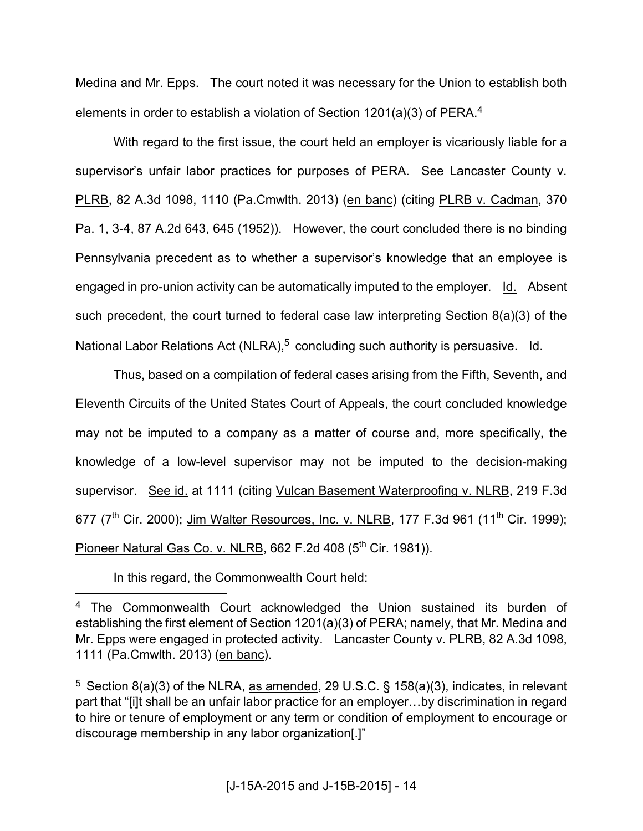Medina and Mr. Epps. The court noted it was necessary for the Union to establish both elements in order to establish a violation of Section 1201(a)(3) of PERA.<sup>4</sup>

 With regard to the first issue, the court held an employer is vicariously liable for a supervisor's unfair labor practices for purposes of PERA. See Lancaster County v. PLRB, 82 A.3d 1098, 1110 (Pa.Cmwlth. 2013) (en banc) (citing PLRB v. Cadman, 370 Pa. 1, 3-4, 87 A.2d 643, 645 (1952)). However, the court concluded there is no binding Pennsylvania precedent as to whether a supervisor's knowledge that an employee is engaged in pro-union activity can be automatically imputed to the employer. Id. Absent such precedent, the court turned to federal case law interpreting Section 8(a)(3) of the National Labor Relations Act (NLRA),<sup>5</sup> concluding such authority is persuasive. ld.

 Thus, based on a compilation of federal cases arising from the Fifth, Seventh, and Eleventh Circuits of the United States Court of Appeals, the court concluded knowledge may not be imputed to a company as a matter of course and, more specifically, the knowledge of a low-level supervisor may not be imputed to the decision-making supervisor. See id. at 1111 (citing Vulcan Basement Waterproofing v. NLRB, 219 F.3d 677 ( $7^{\text{th}}$  Cir. 2000); Jim Walter Resources, Inc. v. NLRB, 177 F.3d 961 (11<sup>th</sup> Cir. 1999); Pioneer Natural Gas Co. v. NLRB, 662 F.2d 408 (5<sup>th</sup> Cir. 1981)).

In this regard, the Commonwealth Court held:

 $\overline{a}$ 

<sup>&</sup>lt;sup>4</sup> The Commonwealth Court acknowledged the Union sustained its burden of establishing the first element of Section 1201(a)(3) of PERA; namely, that Mr. Medina and Mr. Epps were engaged in protected activity. Lancaster County v. PLRB, 82 A.3d 1098, 1111 (Pa.Cmwlth. 2013) (en banc).

<sup>&</sup>lt;sup>5</sup> Section 8(a)(3) of the NLRA, as amended, 29 U.S.C. § 158(a)(3), indicates, in relevant part that "[i]t shall be an unfair labor practice for an employer...by discrimination in regard to hire or tenure of employment or any term or condition of employment to encourage or discourage membership in any labor organization[.]"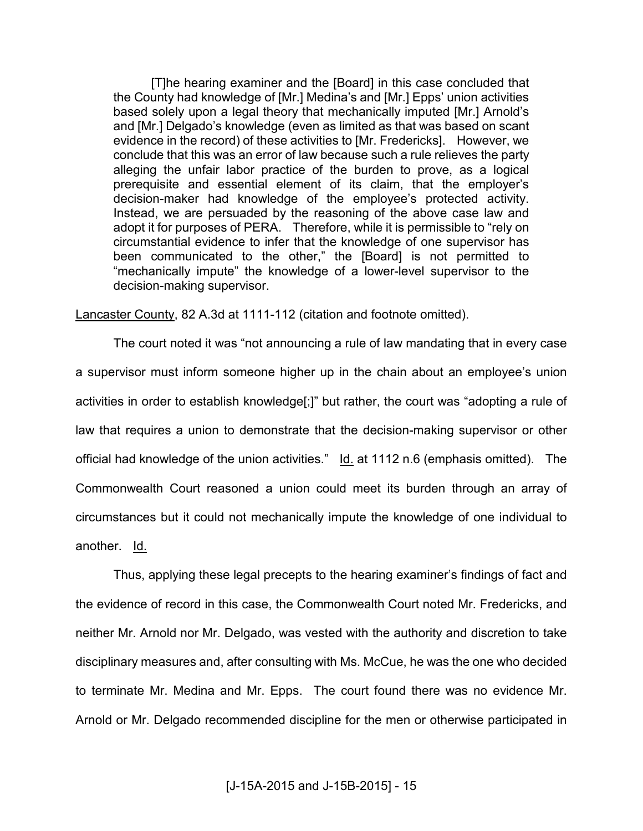[T]he hearing examiner and the [Board] in this case concluded that the County had knowledge of [Mr.] Medina's and [Mr.] Epps' union activities based solely upon a legal theory that mechanically imputed [Mr.] Arnold's and [Mr.] Delgado's knowledge (even as limited as that was based on scant evidence in the record) of these activities to [Mr. Fredericks]. However, we conclude that this was an error of law because such a rule relieves the party alleging the unfair labor practice of the burden to prove, as a logical prerequisite and essential element of its claim, that the employer's decision-maker had knowledge of the employee's protected activity. Instead, we are persuaded by the reasoning of the above case law and adopt it for purposes of PERA. Therefore, while it is permissible to "rely on circumstantial evidence to infer that the knowledge of one supervisor has been communicated to the other," the [Board] is not permitted to "mechanically impute" the knowledge of a lower-level supervisor to the decision-making supervisor.

Lancaster County, 82 A.3d at 1111-112 (citation and footnote omitted).

The court noted it was "not announcing a rule of law mandating that in every case a supervisor must inform someone higher up in the chain about an employee's union activities in order to establish knowledge[;]" but rather, the court was "adopting a rule of law that requires a union to demonstrate that the decision-making supervisor or other official had knowledge of the union activities." Id. at 1112 n.6 (emphasis omitted). The Commonwealth Court reasoned a union could meet its burden through an array of circumstances but it could not mechanically impute the knowledge of one individual to another. Id.

Thus, applying these legal precepts to the hearing examiner's findings of fact and the evidence of record in this case, the Commonwealth Court noted Mr. Fredericks, and neither Mr. Arnold nor Mr. Delgado, was vested with the authority and discretion to take disciplinary measures and, after consulting with Ms. McCue, he was the one who decided to terminate Mr. Medina and Mr. Epps. The court found there was no evidence Mr. Arnold or Mr. Delgado recommended discipline for the men or otherwise participated in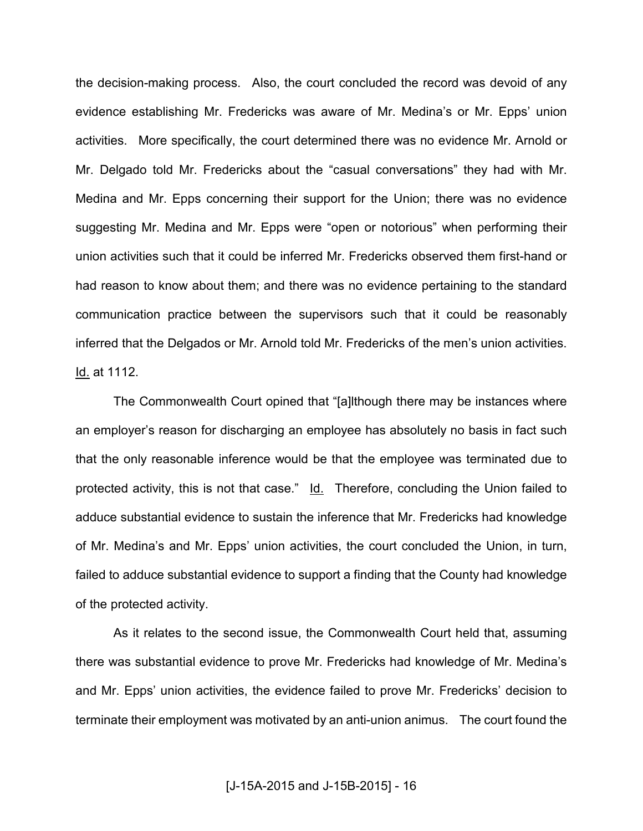the decision-making process. Also, the court concluded the record was devoid of any evidence establishing Mr. Fredericks was aware of Mr. Medina's or Mr. Epps' union activities. More specifically, the court determined there was no evidence Mr. Arnold or Mr. Delgado told Mr. Fredericks about the "casual conversations" they had with Mr. Medina and Mr. Epps concerning their support for the Union; there was no evidence suggesting Mr. Medina and Mr. Epps were "open or notorious" when performing their union activities such that it could be inferred Mr. Fredericks observed them first-hand or had reason to know about them; and there was no evidence pertaining to the standard communication practice between the supervisors such that it could be reasonably inferred that the Delgados or Mr. Arnold told Mr. Fredericks of the men's union activities. Id. at 1112.

The Commonwealth Court opined that "[a]lthough there may be instances where an employer's reason for discharging an employee has absolutely no basis in fact such that the only reasonable inference would be that the employee was terminated due to protected activity, this is not that case." Id. Therefore, concluding the Union failed to adduce substantial evidence to sustain the inference that Mr. Fredericks had knowledge of Mr. Medina's and Mr. Epps' union activities, the court concluded the Union, in turn, failed to adduce substantial evidence to support a finding that the County had knowledge of the protected activity.

As it relates to the second issue, the Commonwealth Court held that, assuming there was substantial evidence to prove Mr. Fredericks had knowledge of Mr. Medina's and Mr. Epps' union activities, the evidence failed to prove Mr. Fredericks' decision to terminate their employment was motivated by an anti-union animus. The court found the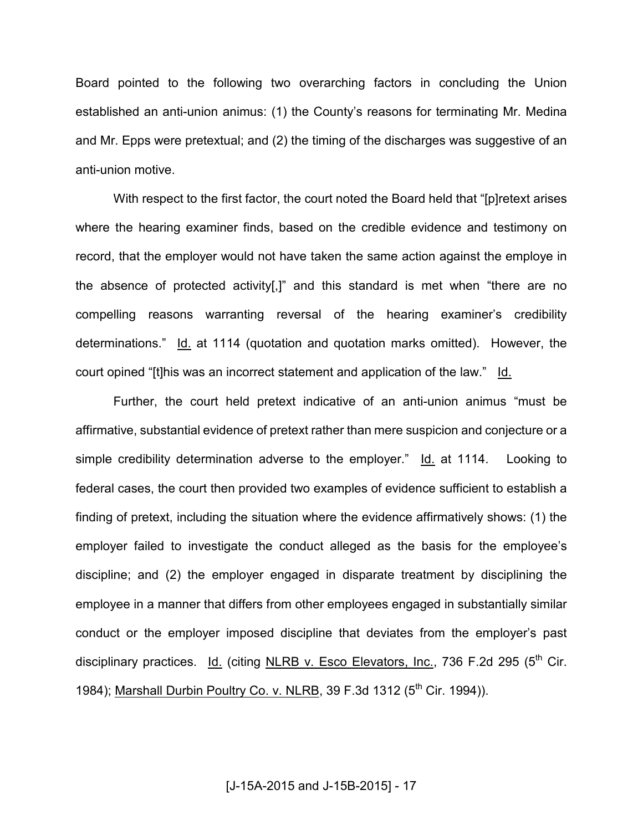Board pointed to the following two overarching factors in concluding the Union established an anti-union animus: (1) the County's reasons for terminating Mr. Medina and Mr. Epps were pretextual; and (2) the timing of the discharges was suggestive of an anti-union motive.

With respect to the first factor, the court noted the Board held that "[p]retext arises where the hearing examiner finds, based on the credible evidence and testimony on record, that the employer would not have taken the same action against the employe in the absence of protected activity[,]" and this standard is met when "there are no compelling reasons warranting reversal of the hearing examiner's credibility determinations." Id. at 1114 (quotation and quotation marks omitted). However, the court opined "[t]his was an incorrect statement and application of the law." Id.

Further, the court held pretext indicative of an anti-union animus "must be affirmative, substantial evidence of pretext rather than mere suspicion and conjecture or a simple credibility determination adverse to the employer." Id. at 1114. Looking to federal cases, the court then provided two examples of evidence sufficient to establish a finding of pretext, including the situation where the evidence affirmatively shows: (1) the employer failed to investigate the conduct alleged as the basis for the employee's discipline; and (2) the employer engaged in disparate treatment by disciplining the employee in a manner that differs from other employees engaged in substantially similar conduct or the employer imposed discipline that deviates from the employer's past disciplinary practices. Id. (citing NLRB v. Esco Elevators, Inc., 736 F.2d 295 (5<sup>th</sup> Cir. 1984); Marshall Durbin Poultry Co. v. NLRB, 39 F.3d 1312 (5<sup>th</sup> Cir. 1994)).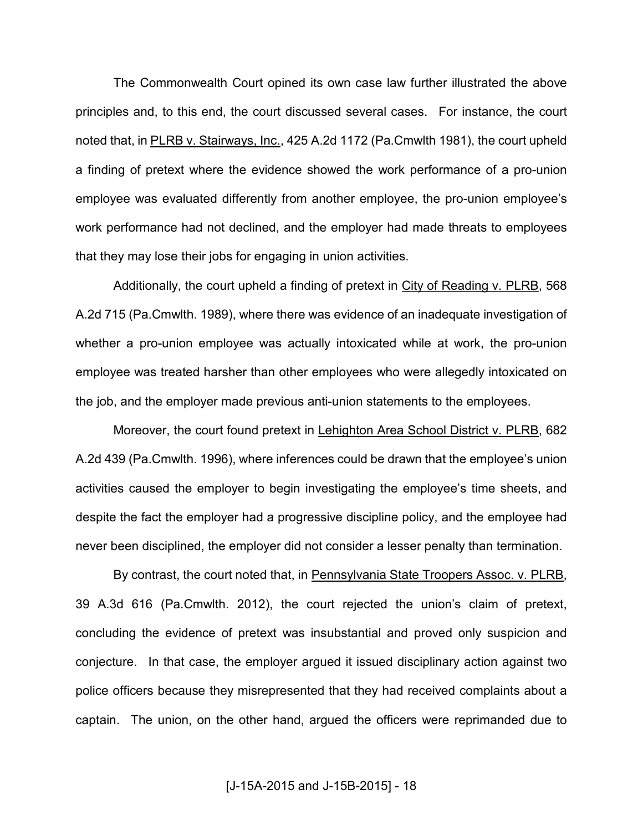The Commonwealth Court opined its own case law further illustrated the above principles and, to this end, the court discussed several cases. For instance, the court noted that, in PLRB v. Stairways, Inc., 425 A.2d 1172 (Pa.Cmwlth 1981), the court upheld a finding of pretext where the evidence showed the work performance of a pro-union employee was evaluated differently from another employee, the pro-union employee's work performance had not declined, and the employer had made threats to employees that they may lose their jobs for engaging in union activities.

Additionally, the court upheld a finding of pretext in City of Reading v. PLRB, 568 A.2d 715 (Pa.Cmwlth. 1989), where there was evidence of an inadequate investigation of whether a pro-union employee was actually intoxicated while at work, the pro-union employee was treated harsher than other employees who were allegedly intoxicated on the job, and the employer made previous anti-union statements to the employees.

 Moreover, the court found pretext in Lehighton Area School District v. PLRB, 682 A.2d 439 (Pa.Cmwlth. 1996), where inferences could be drawn that the employee's union activities caused the employer to begin investigating the employee's time sheets, and despite the fact the employer had a progressive discipline policy, and the employee had never been disciplined, the employer did not consider a lesser penalty than termination.

By contrast, the court noted that, in Pennsylvania State Troopers Assoc. v. PLRB, 39 A.3d 616 (Pa.Cmwlth. 2012), the court rejected the union's claim of pretext, concluding the evidence of pretext was insubstantial and proved only suspicion and conjecture. In that case, the employer argued it issued disciplinary action against two police officers because they misrepresented that they had received complaints about a captain. The union, on the other hand, argued the officers were reprimanded due to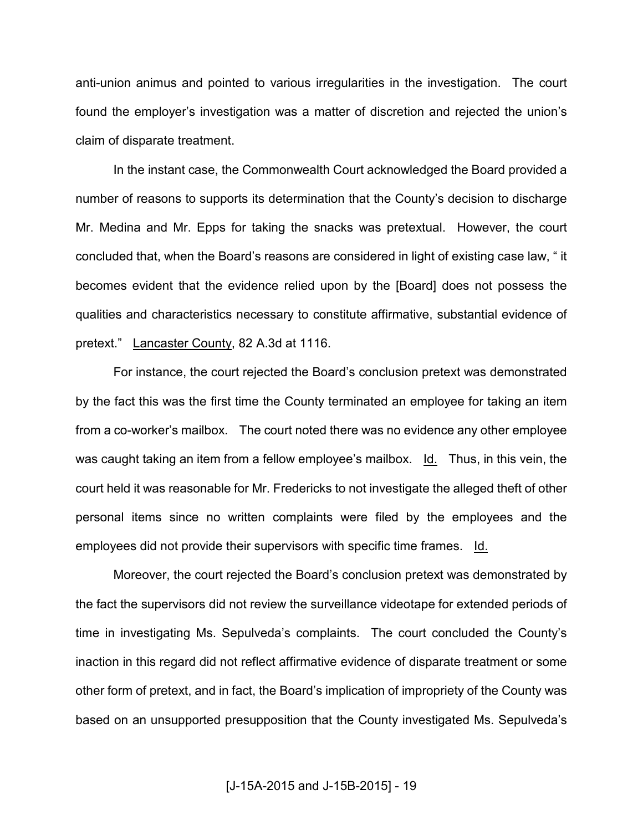anti-union animus and pointed to various irregularities in the investigation. The court found the employer's investigation was a matter of discretion and rejected the union's claim of disparate treatment.

In the instant case, the Commonwealth Court acknowledged the Board provided a number of reasons to supports its determination that the County's decision to discharge Mr. Medina and Mr. Epps for taking the snacks was pretextual. However, the court concluded that, when the Board's reasons are considered in light of existing case law, " it becomes evident that the evidence relied upon by the [Board] does not possess the qualities and characteristics necessary to constitute affirmative, substantial evidence of pretext." Lancaster County, 82 A.3d at 1116.

For instance, the court rejected the Board's conclusion pretext was demonstrated by the fact this was the first time the County terminated an employee for taking an item from a co-worker's mailbox. The court noted there was no evidence any other employee was caught taking an item from a fellow employee's mailbox.  $\underline{Id}$ . Thus, in this vein, the court held it was reasonable for Mr. Fredericks to not investigate the alleged theft of other personal items since no written complaints were filed by the employees and the employees did not provide their supervisors with specific time frames. Id.

 Moreover, the court rejected the Board's conclusion pretext was demonstrated by the fact the supervisors did not review the surveillance videotape for extended periods of time in investigating Ms. Sepulveda's complaints. The court concluded the County's inaction in this regard did not reflect affirmative evidence of disparate treatment or some other form of pretext, and in fact, the Board's implication of impropriety of the County was based on an unsupported presupposition that the County investigated Ms. Sepulveda's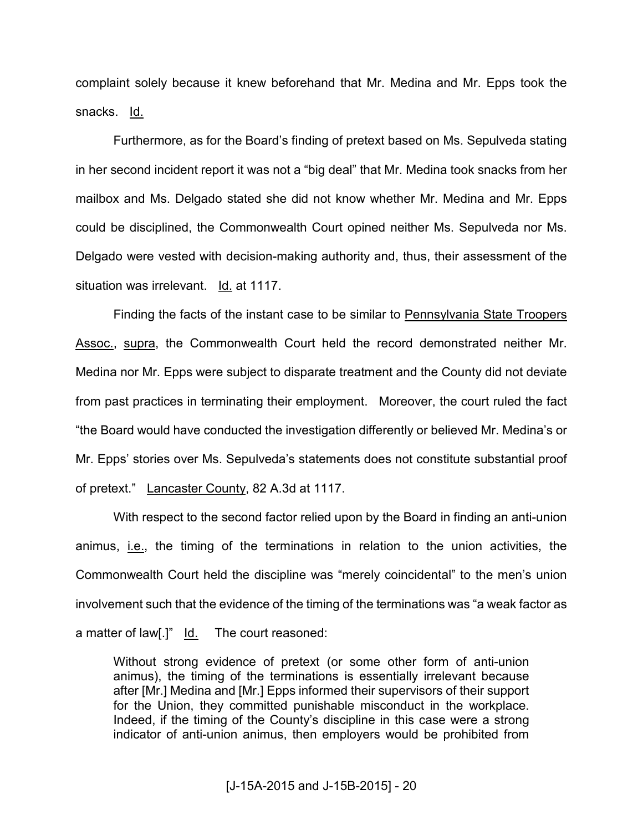complaint solely because it knew beforehand that Mr. Medina and Mr. Epps took the snacks. Id.

Furthermore, as for the Board's finding of pretext based on Ms. Sepulveda stating in her second incident report it was not a "big deal" that Mr. Medina took snacks from her mailbox and Ms. Delgado stated she did not know whether Mr. Medina and Mr. Epps could be disciplined, the Commonwealth Court opined neither Ms. Sepulveda nor Ms. Delgado were vested with decision-making authority and, thus, their assessment of the situation was irrelevant. Id. at 1117.

Finding the facts of the instant case to be similar to Pennsylvania State Troopers Assoc., supra, the Commonwealth Court held the record demonstrated neither Mr. Medina nor Mr. Epps were subject to disparate treatment and the County did not deviate from past practices in terminating their employment. Moreover, the court ruled the fact "the Board would have conducted the investigation differently or believed Mr. Medina's or Mr. Epps' stories over Ms. Sepulveda's statements does not constitute substantial proof of pretext." Lancaster County, 82 A.3d at 1117.

With respect to the second factor relied upon by the Board in finding an anti-union animus, i.e., the timing of the terminations in relation to the union activities, the Commonwealth Court held the discipline was "merely coincidental" to the men's union involvement such that the evidence of the timing of the terminations was "a weak factor as a matter of law[.]" Id. The court reasoned:

Without strong evidence of pretext (or some other form of anti-union animus), the timing of the terminations is essentially irrelevant because after [Mr.] Medina and [Mr.] Epps informed their supervisors of their support for the Union, they committed punishable misconduct in the workplace. Indeed, if the timing of the County's discipline in this case were a strong indicator of anti-union animus, then employers would be prohibited from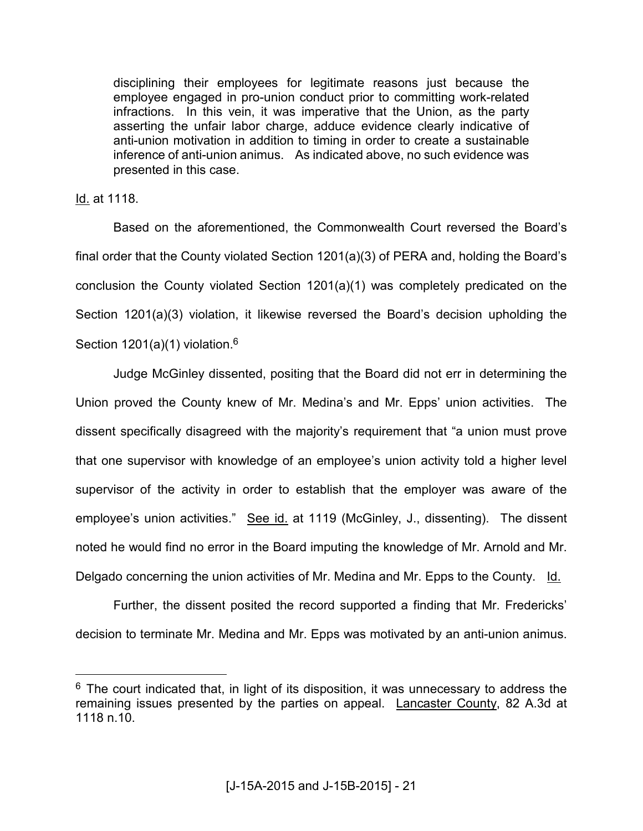disciplining their employees for legitimate reasons just because the employee engaged in pro-union conduct prior to committing work-related infractions. In this vein, it was imperative that the Union, as the party asserting the unfair labor charge, adduce evidence clearly indicative of anti-union motivation in addition to timing in order to create a sustainable inference of anti-union animus. As indicated above, no such evidence was presented in this case.

Id. at 1118.

 $\overline{a}$ 

 Based on the aforementioned, the Commonwealth Court reversed the Board's final order that the County violated Section 1201(a)(3) of PERA and, holding the Board's conclusion the County violated Section 1201(a)(1) was completely predicated on the Section 1201(a)(3) violation, it likewise reversed the Board's decision upholding the Section  $1201(a)(1)$  violation.<sup>6</sup>

 Judge McGinley dissented, positing that the Board did not err in determining the Union proved the County knew of Mr. Medina's and Mr. Epps' union activities. The dissent specifically disagreed with the majority's requirement that "a union must prove that one supervisor with knowledge of an employee's union activity told a higher level supervisor of the activity in order to establish that the employer was aware of the employee's union activities." See id. at 1119 (McGinley, J., dissenting). The dissent noted he would find no error in the Board imputing the knowledge of Mr. Arnold and Mr. Delgado concerning the union activities of Mr. Medina and Mr. Epps to the County. Id.

Further, the dissent posited the record supported a finding that Mr. Fredericks' decision to terminate Mr. Medina and Mr. Epps was motivated by an anti-union animus.

 $6$  The court indicated that, in light of its disposition, it was unnecessary to address the remaining issues presented by the parties on appeal. Lancaster County, 82 A.3d at 1118 n.10.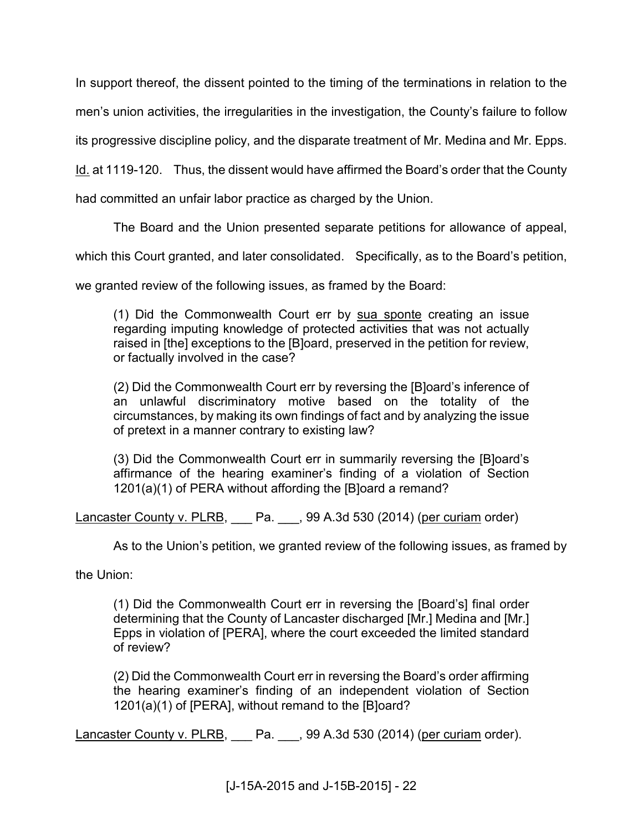In support thereof, the dissent pointed to the timing of the terminations in relation to the

men's union activities, the irregularities in the investigation, the County's failure to follow

its progressive discipline policy, and the disparate treatment of Mr. Medina and Mr. Epps.

Id. at 1119-120. Thus, the dissent would have affirmed the Board's order that the County

had committed an unfair labor practice as charged by the Union.

The Board and the Union presented separate petitions for allowance of appeal,

which this Court granted, and later consolidated. Specifically, as to the Board's petition,

we granted review of the following issues, as framed by the Board:

(1) Did the Commonwealth Court err by sua sponte creating an issue regarding imputing knowledge of protected activities that was not actually raised in [the] exceptions to the [B]oard, preserved in the petition for review, or factually involved in the case?

(2) Did the Commonwealth Court err by reversing the [B]oard's inference of an unlawful discriminatory motive based on the totality of the circumstances, by making its own findings of fact and by analyzing the issue of pretext in a manner contrary to existing law?

(3) Did the Commonwealth Court err in summarily reversing the [B]oard's affirmance of the hearing examiner's finding of a violation of Section 1201(a)(1) of PERA without affording the [B]oard a remand?

Lancaster County v. PLRB, Pa. 2, 99 A.3d 530 (2014) (per curiam order)

As to the Union's petition, we granted review of the following issues, as framed by

the Union:

(1) Did the Commonwealth Court err in reversing the [Board's] final order determining that the County of Lancaster discharged [Mr.] Medina and [Mr.] Epps in violation of [PERA], where the court exceeded the limited standard of review?

(2) Did the Commonwealth Court err in reversing the Board's order affirming the hearing examiner's finding of an independent violation of Section 1201(a)(1) of [PERA], without remand to the [B]oard?

Lancaster County v. PLRB, Pa. 199 A.3d 530 (2014) (per curiam order).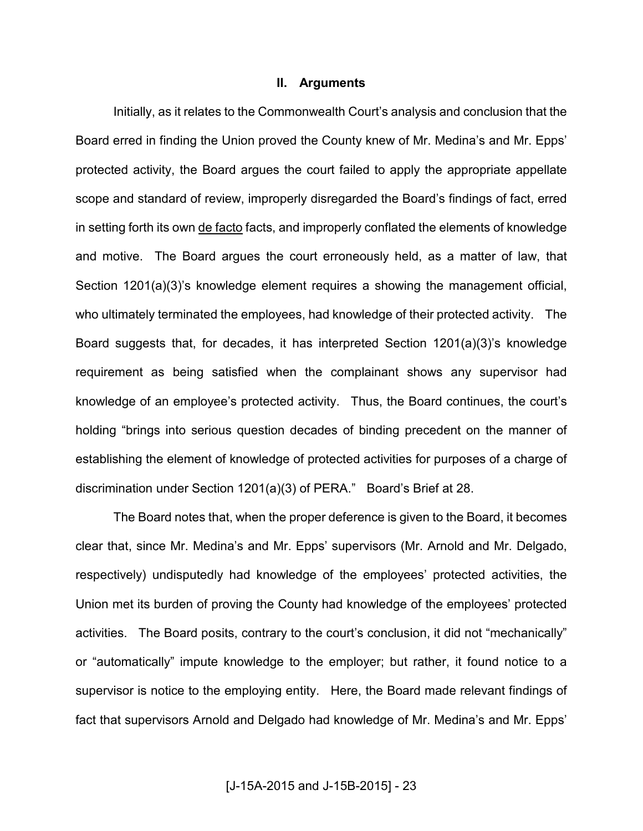#### **II. Arguments**

 Initially, as it relates to the Commonwealth Court's analysis and conclusion that the Board erred in finding the Union proved the County knew of Mr. Medina's and Mr. Epps' protected activity, the Board argues the court failed to apply the appropriate appellate scope and standard of review, improperly disregarded the Board's findings of fact, erred in setting forth its own de facto facts, and improperly conflated the elements of knowledge and motive. The Board argues the court erroneously held, as a matter of law, that Section 1201(a)(3)'s knowledge element requires a showing the management official, who ultimately terminated the employees, had knowledge of their protected activity. The Board suggests that, for decades, it has interpreted Section 1201(a)(3)'s knowledge requirement as being satisfied when the complainant shows any supervisor had knowledge of an employee's protected activity. Thus, the Board continues, the court's holding "brings into serious question decades of binding precedent on the manner of establishing the element of knowledge of protected activities for purposes of a charge of discrimination under Section 1201(a)(3) of PERA." Board's Brief at 28.

The Board notes that, when the proper deference is given to the Board, it becomes clear that, since Mr. Medina's and Mr. Epps' supervisors (Mr. Arnold and Mr. Delgado, respectively) undisputedly had knowledge of the employees' protected activities, the Union met its burden of proving the County had knowledge of the employees' protected activities. The Board posits, contrary to the court's conclusion, it did not "mechanically" or "automatically" impute knowledge to the employer; but rather, it found notice to a supervisor is notice to the employing entity. Here, the Board made relevant findings of fact that supervisors Arnold and Delgado had knowledge of Mr. Medina's and Mr. Epps'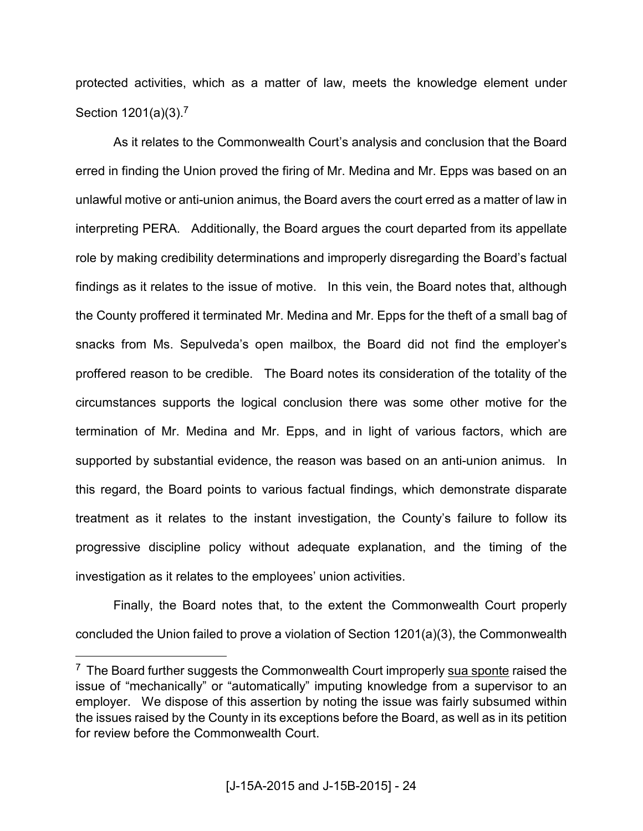protected activities, which as a matter of law, meets the knowledge element under Section 1201(a)(3).<sup>7</sup>

As it relates to the Commonwealth Court's analysis and conclusion that the Board erred in finding the Union proved the firing of Mr. Medina and Mr. Epps was based on an unlawful motive or anti-union animus, the Board avers the court erred as a matter of law in interpreting PERA. Additionally, the Board argues the court departed from its appellate role by making credibility determinations and improperly disregarding the Board's factual findings as it relates to the issue of motive. In this vein, the Board notes that, although the County proffered it terminated Mr. Medina and Mr. Epps for the theft of a small bag of snacks from Ms. Sepulveda's open mailbox, the Board did not find the employer's proffered reason to be credible. The Board notes its consideration of the totality of the circumstances supports the logical conclusion there was some other motive for the termination of Mr. Medina and Mr. Epps, and in light of various factors, which are supported by substantial evidence, the reason was based on an anti-union animus. In this regard, the Board points to various factual findings, which demonstrate disparate treatment as it relates to the instant investigation, the County's failure to follow its progressive discipline policy without adequate explanation, and the timing of the investigation as it relates to the employees' union activities.

Finally, the Board notes that, to the extent the Commonwealth Court properly concluded the Union failed to prove a violation of Section 1201(a)(3), the Commonwealth

 $\overline{a}$ 

<sup>&</sup>lt;sup>7</sup> The Board further suggests the Commonwealth Court improperly sua sponte raised the issue of "mechanically" or "automatically" imputing knowledge from a supervisor to an employer. We dispose of this assertion by noting the issue was fairly subsumed within the issues raised by the County in its exceptions before the Board, as well as in its petition for review before the Commonwealth Court.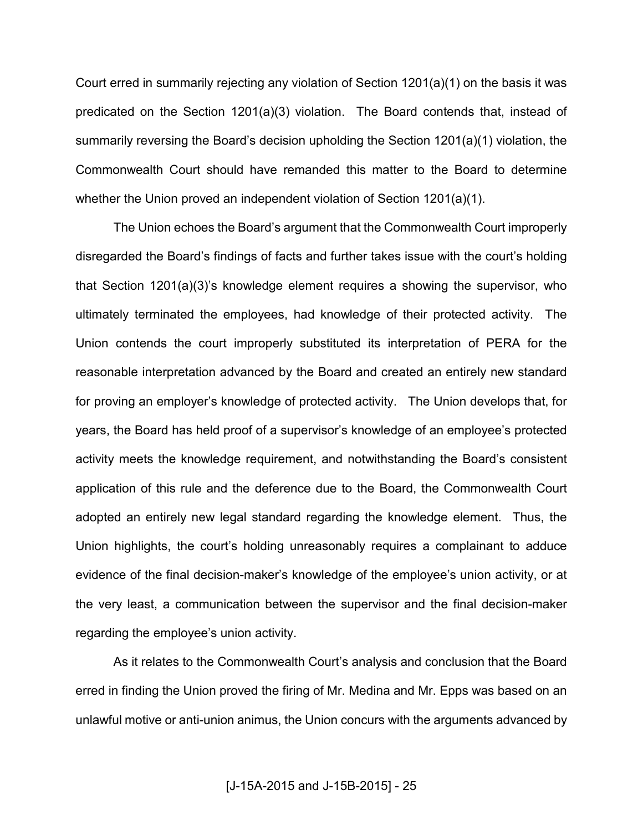Court erred in summarily rejecting any violation of Section 1201(a)(1) on the basis it was predicated on the Section 1201(a)(3) violation. The Board contends that, instead of summarily reversing the Board's decision upholding the Section 1201(a)(1) violation, the Commonwealth Court should have remanded this matter to the Board to determine whether the Union proved an independent violation of Section 1201(a)(1).

The Union echoes the Board's argument that the Commonwealth Court improperly disregarded the Board's findings of facts and further takes issue with the court's holding that Section 1201(a)(3)'s knowledge element requires a showing the supervisor, who ultimately terminated the employees, had knowledge of their protected activity. The Union contends the court improperly substituted its interpretation of PERA for the reasonable interpretation advanced by the Board and created an entirely new standard for proving an employer's knowledge of protected activity. The Union develops that, for years, the Board has held proof of a supervisor's knowledge of an employee's protected activity meets the knowledge requirement, and notwithstanding the Board's consistent application of this rule and the deference due to the Board, the Commonwealth Court adopted an entirely new legal standard regarding the knowledge element. Thus, the Union highlights, the court's holding unreasonably requires a complainant to adduce evidence of the final decision-maker's knowledge of the employee's union activity, or at the very least, a communication between the supervisor and the final decision-maker regarding the employee's union activity.

As it relates to the Commonwealth Court's analysis and conclusion that the Board erred in finding the Union proved the firing of Mr. Medina and Mr. Epps was based on an unlawful motive or anti-union animus, the Union concurs with the arguments advanced by

[J-15A-2015 and J-15B-2015] - 25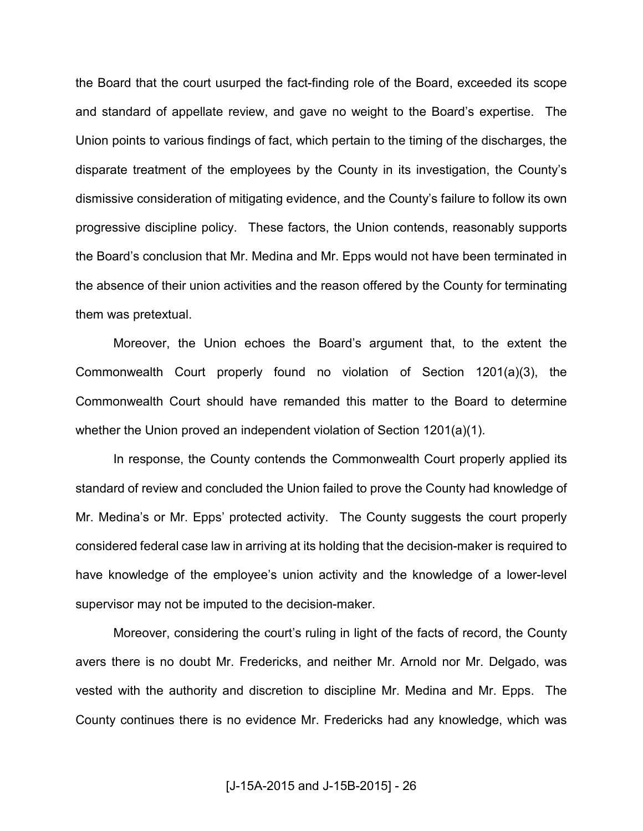the Board that the court usurped the fact-finding role of the Board, exceeded its scope and standard of appellate review, and gave no weight to the Board's expertise. The Union points to various findings of fact, which pertain to the timing of the discharges, the disparate treatment of the employees by the County in its investigation, the County's dismissive consideration of mitigating evidence, and the County's failure to follow its own progressive discipline policy. These factors, the Union contends, reasonably supports the Board's conclusion that Mr. Medina and Mr. Epps would not have been terminated in the absence of their union activities and the reason offered by the County for terminating them was pretextual.

Moreover, the Union echoes the Board's argument that, to the extent the Commonwealth Court properly found no violation of Section 1201(a)(3), the Commonwealth Court should have remanded this matter to the Board to determine whether the Union proved an independent violation of Section 1201(a)(1).

In response, the County contends the Commonwealth Court properly applied its standard of review and concluded the Union failed to prove the County had knowledge of Mr. Medina's or Mr. Epps' protected activity. The County suggests the court properly considered federal case law in arriving at its holding that the decision-maker is required to have knowledge of the employee's union activity and the knowledge of a lower-level supervisor may not be imputed to the decision-maker.

Moreover, considering the court's ruling in light of the facts of record, the County avers there is no doubt Mr. Fredericks, and neither Mr. Arnold nor Mr. Delgado, was vested with the authority and discretion to discipline Mr. Medina and Mr. Epps. The County continues there is no evidence Mr. Fredericks had any knowledge, which was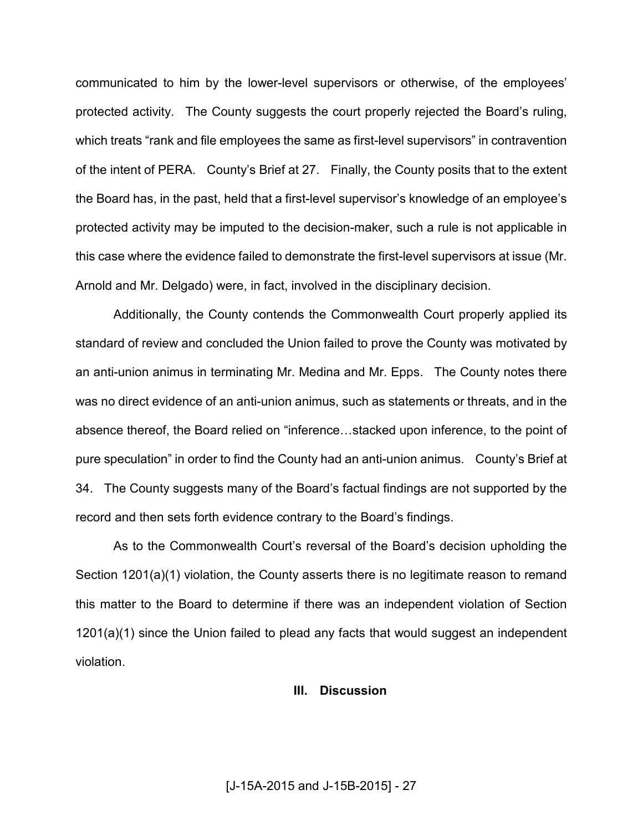communicated to him by the lower-level supervisors or otherwise, of the employees' protected activity. The County suggests the court properly rejected the Board's ruling, which treats "rank and file employees the same as first-level supervisors" in contravention of the intent of PERA. County's Brief at 27. Finally, the County posits that to the extent the Board has, in the past, held that a first-level supervisor's knowledge of an employee's protected activity may be imputed to the decision-maker, such a rule is not applicable in this case where the evidence failed to demonstrate the first-level supervisors at issue (Mr. Arnold and Mr. Delgado) were, in fact, involved in the disciplinary decision.

Additionally, the County contends the Commonwealth Court properly applied its standard of review and concluded the Union failed to prove the County was motivated by an anti-union animus in terminating Mr. Medina and Mr. Epps. The County notes there was no direct evidence of an anti-union animus, such as statements or threats, and in the absence thereof, the Board relied on "inference...stacked upon inference, to the point of pure speculation" in order to find the County had an anti-union animus. County's Brief at 34. The County suggests many of the Board's factual findings are not supported by the record and then sets forth evidence contrary to the Board's findings.

As to the Commonwealth Court's reversal of the Board's decision upholding the Section 1201(a)(1) violation, the County asserts there is no legitimate reason to remand this matter to the Board to determine if there was an independent violation of Section 1201(a)(1) since the Union failed to plead any facts that would suggest an independent violation.

### **III. Discussion**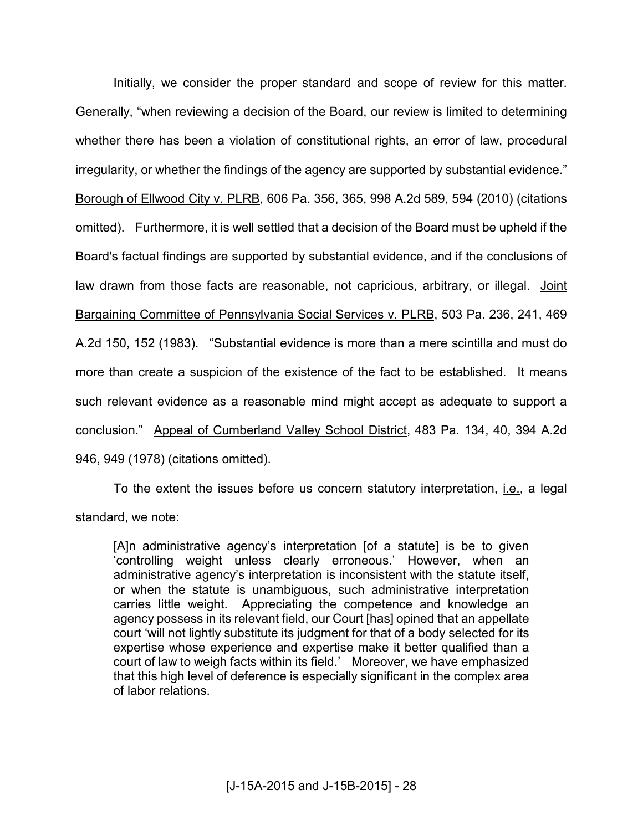Initially, we consider the proper standard and scope of review for this matter. Generally, "when reviewing a decision of the Board, our review is limited to determining whether there has been a violation of constitutional rights, an error of law, procedural irregularity, or whether the findings of the agency are supported by substantial evidence." Borough of Ellwood City v. PLRB, 606 Pa. 356, 365, 998 A.2d 589, 594 (2010) (citations omitted). Furthermore, it is well settled that a decision of the Board must be upheld if the Board's factual findings are supported by substantial evidence, and if the conclusions of law drawn from those facts are reasonable, not capricious, arbitrary, or illegal. Joint Bargaining Committee of Pennsylvania Social Services v. PLRB, 503 Pa. 236, 241, 469 A.2d 150, 152 (1983). "Substantial evidence is more than a mere scintilla and must do more than create a suspicion of the existence of the fact to be established. It means such relevant evidence as a reasonable mind might accept as adequate to support a conclusion." Appeal of Cumberland Valley School District, 483 Pa. 134, 40, 394 A.2d 946, 949 (1978) (citations omitted).

To the extent the issues before us concern statutory interpretation, *i.e.*, a legal standard, we note:

[A]n administrative agency's interpretation [of a statute] is be to given 'controlling weight unless clearly erroneous.' However, when an administrative agency's interpretation is inconsistent with the statute itself, or when the statute is unambiguous, such administrative interpretation carries little weight. Appreciating the competence and knowledge an agency possess in its relevant field, our Court [has] opined that an appellate court 'will not lightly substitute its judgment for that of a body selected for its expertise whose experience and expertise make it better qualified than a court of law to weigh facts within its field.' Moreover, we have emphasized that this high level of deference is especially significant in the complex area of labor relations.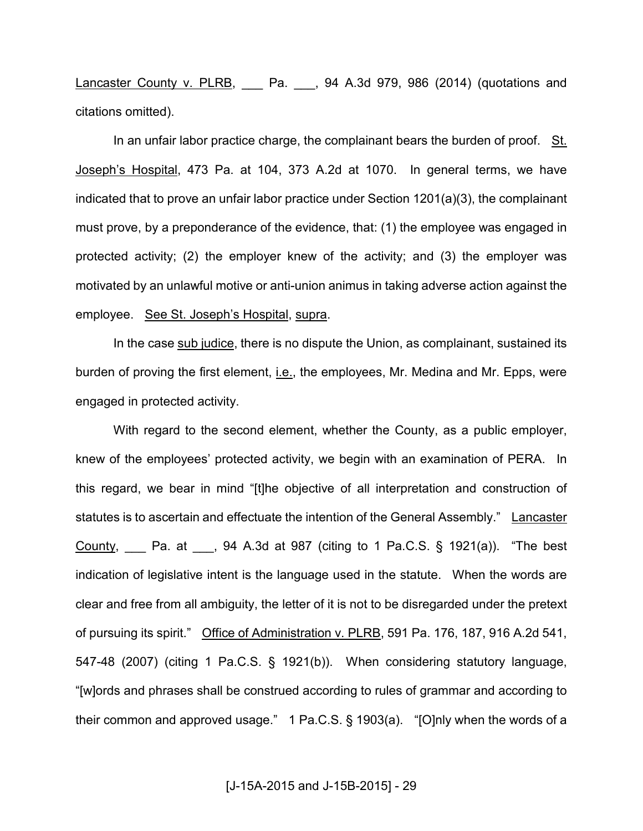Lancaster County v. PLRB, Cancel Pa. 20, 94 A.3d 979, 986 (2014) (quotations and citations omitted).

 In an unfair labor practice charge, the complainant bears the burden of proof. St. Joseph's Hospital, 473 Pa. at 104, 373 A.2d at 1070. In general terms, we have indicated that to prove an unfair labor practice under Section 1201(a)(3), the complainant must prove, by a preponderance of the evidence, that: (1) the employee was engaged in protected activity; (2) the employer knew of the activity; and (3) the employer was motivated by an unlawful motive or anti-union animus in taking adverse action against the employee. See St. Joseph's Hospital, supra.

 In the case sub judice, there is no dispute the Union, as complainant, sustained its burden of proving the first element, *i.e.*, the employees, Mr. Medina and Mr. Epps, were engaged in protected activity.

 With regard to the second element, whether the County, as a public employer, knew of the employees' protected activity, we begin with an examination of PERA. In this regard, we bear in mind "[t]he objective of all interpretation and construction of statutes is to ascertain and effectuate the intention of the General Assembly." Lancaster County, \_\_\_ Pa. at \_\_\_, 94 A.3d at 987 (citing to 1 Pa.C.S. § 1921(a)). "The best indication of legislative intent is the language used in the statute. When the words are clear and free from all ambiguity, the letter of it is not to be disregarded under the pretext of pursuing its spirit." Office of Administration v. PLRB, 591 Pa. 176, 187, 916 A.2d 541, 547-48 (2007) (citing 1 Pa.C.S. § 1921(b)). When considering statutory language, "[w]ords and phrases shall be construed according to rules of grammar and according to their common and approved usage." 1 Pa.C.S. § 1903(a). "[O]nly when the words of a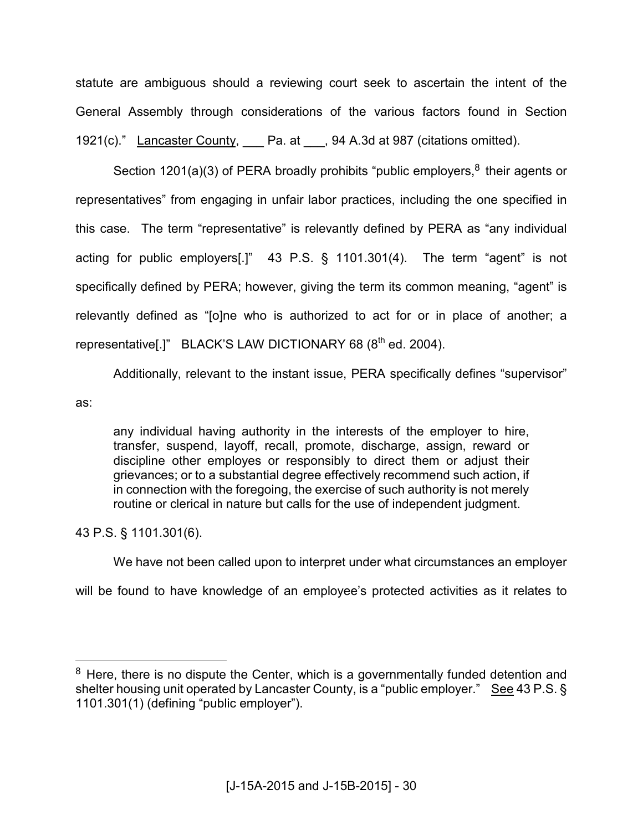statute are ambiguous should a reviewing court seek to ascertain the intent of the General Assembly through considerations of the various factors found in Section 1921(c)." Lancaster County, Pa. at , 94 A.3d at 987 (citations omitted).

Section 1201(a)(3) of PERA broadly prohibits "public employers, $8$  their agents or representatives" from engaging in unfair labor practices, including the one specified in this case. The term "representative" is relevantly defined by PERA as "any individual acting for public employers[.]" 43 P.S. § 1101.301(4). The term "agent" is not specifically defined by PERA; however, giving the term its common meaning, "agent" is relevantly defined as "[o]ne who is authorized to act for or in place of another; a representative[.]" BLACK'S LAW DICTIONARY 68  $(8^{th}$  ed. 2004).

Additionally, relevant to the instant issue, PERA specifically defines "supervisor"

as:

 $\overline{a}$ 

any individual having authority in the interests of the employer to hire, transfer, suspend, layoff, recall, promote, discharge, assign, reward or discipline other employes or responsibly to direct them or adjust their grievances; or to a substantial degree effectively recommend such action, if in connection with the foregoing, the exercise of such authority is not merely routine or clerical in nature but calls for the use of independent judgment.

43 P.S. § 1101.301(6).

We have not been called upon to interpret under what circumstances an employer

will be found to have knowledge of an employee's protected activities as it relates to

<sup>&</sup>lt;sup>8</sup> Here, there is no dispute the Center, which is a governmentally funded detention and shelter housing unit operated by Lancaster County, is a "public employer." See 43 P.S. § 1101.301(1) (defining "public employer").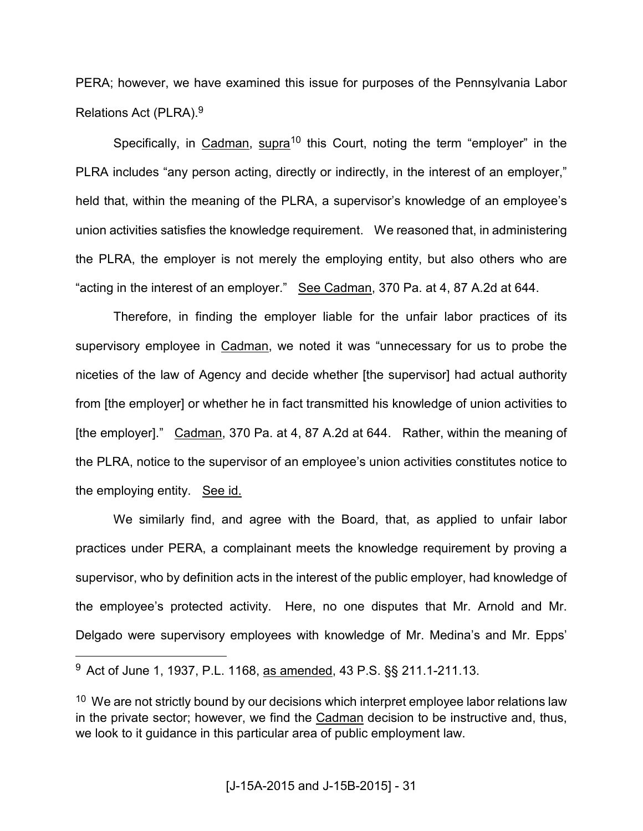PERA; however, we have examined this issue for purposes of the Pennsylvania Labor Relations Act (PLRA).<sup>9</sup>

Specifically, in Cadman, supra<sup>10</sup> this Court, noting the term "employer" in the PLRA includes "any person acting, directly or indirectly, in the interest of an employer," held that, within the meaning of the PLRA, a supervisor's knowledge of an employee's union activities satisfies the knowledge requirement. We reasoned that, in administering the PLRA, the employer is not merely the employing entity, but also others who are "acting in the interest of an employer." See Cadman, 370 Pa. at 4, 87 A.2d at 644.

 Therefore, in finding the employer liable for the unfair labor practices of its supervisory employee in Cadman, we noted it was "unnecessary for us to probe the niceties of the law of Agency and decide whether [the supervisor] had actual authority from [the employer] or whether he in fact transmitted his knowledge of union activities to [the employer]." Cadman, 370 Pa. at 4, 87 A.2d at 644. Rather, within the meaning of the PLRA, notice to the supervisor of an employee's union activities constitutes notice to the employing entity. See id.

 We similarly find, and agree with the Board, that, as applied to unfair labor practices under PERA, a complainant meets the knowledge requirement by proving a supervisor, who by definition acts in the interest of the public employer, had knowledge of the employee's protected activity. Here, no one disputes that Mr. Arnold and Mr. Delgado were supervisory employees with knowledge of Mr. Medina's and Mr. Epps'

 $\overline{a}$ 

<sup>&</sup>lt;sup>9</sup> Act of June 1, 1937, P.L. 1168, as amended, 43 P.S. §§ 211.1-211.13.

 $10$  We are not strictly bound by our decisions which interpret employee labor relations law in the private sector; however, we find the Cadman decision to be instructive and, thus, we look to it guidance in this particular area of public employment law.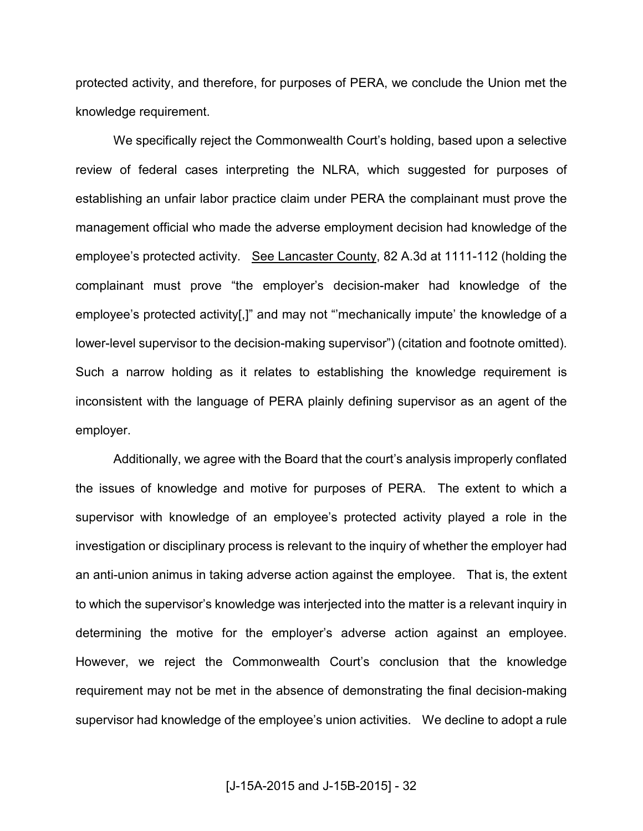protected activity, and therefore, for purposes of PERA, we conclude the Union met the knowledge requirement.

 We specifically reject the Commonwealth Court's holding, based upon a selective review of federal cases interpreting the NLRA, which suggested for purposes of establishing an unfair labor practice claim under PERA the complainant must prove the management official who made the adverse employment decision had knowledge of the employee's protected activity. See Lancaster County, 82 A.3d at 1111-112 (holding the complainant must prove "the employer's decision-maker had knowledge of the employee's protected activity[,]" and may not "'mechanically impute' the knowledge of a lower-level supervisor to the decision-making supervisor") (citation and footnote omitted). Such a narrow holding as it relates to establishing the knowledge requirement is inconsistent with the language of PERA plainly defining supervisor as an agent of the employer.

 Additionally, we agree with the Board that the court's analysis improperly conflated the issues of knowledge and motive for purposes of PERA. The extent to which a supervisor with knowledge of an employee's protected activity played a role in the investigation or disciplinary process is relevant to the inquiry of whether the employer had an anti-union animus in taking adverse action against the employee. That is, the extent to which the supervisor's knowledge was interjected into the matter is a relevant inquiry in determining the motive for the employer's adverse action against an employee. However, we reject the Commonwealth Court's conclusion that the knowledge requirement may not be met in the absence of demonstrating the final decision-making supervisor had knowledge of the employee's union activities. We decline to adopt a rule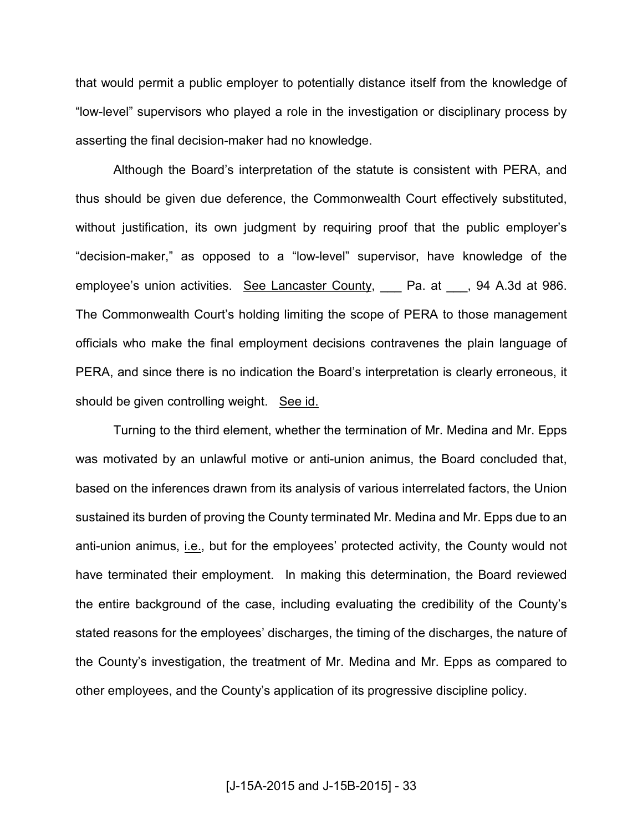that would permit a public employer to potentially distance itself from the knowledge of "low-level" supervisors who played a role in the investigation or disciplinary process by asserting the final decision-maker had no knowledge.

 Although the Board's interpretation of the statute is consistent with PERA, and thus should be given due deference, the Commonwealth Court effectively substituted, without justification, its own judgment by requiring proof that the public employer's "decision-maker," as opposed to a "low-level" supervisor, have knowledge of the employee's union activities. See Lancaster County, Pa. at 94 A.3d at 986. The Commonwealth Court's holding limiting the scope of PERA to those management officials who make the final employment decisions contravenes the plain language of PERA, and since there is no indication the Board's interpretation is clearly erroneous, it should be given controlling weight. See id.

 Turning to the third element, whether the termination of Mr. Medina and Mr. Epps was motivated by an unlawful motive or anti-union animus, the Board concluded that, based on the inferences drawn from its analysis of various interrelated factors, the Union sustained its burden of proving the County terminated Mr. Medina and Mr. Epps due to an anti-union animus, *i.e.*, but for the employees' protected activity, the County would not have terminated their employment. In making this determination, the Board reviewed the entire background of the case, including evaluating the credibility of the County's stated reasons for the employees' discharges, the timing of the discharges, the nature of the County's investigation, the treatment of Mr. Medina and Mr. Epps as compared to other employees, and the County's application of its progressive discipline policy.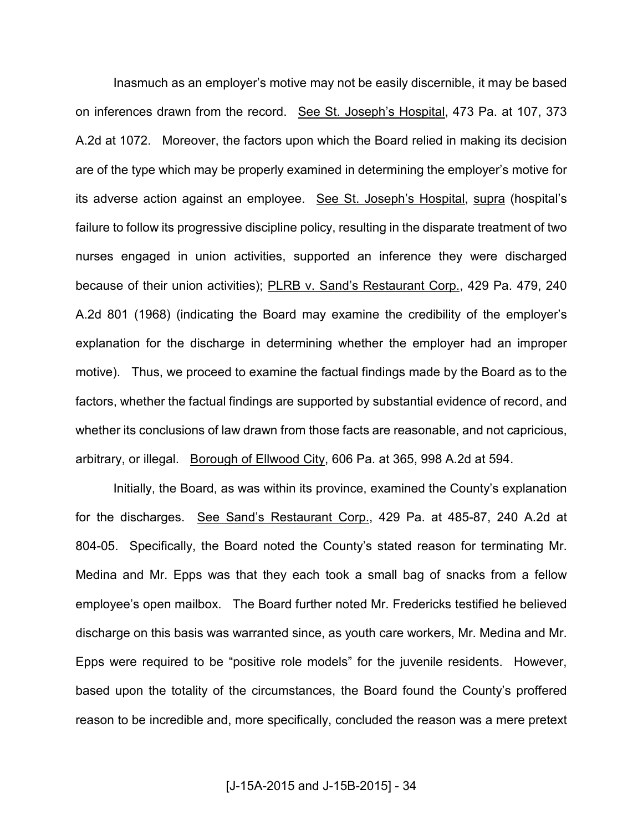Inasmuch as an employer's motive may not be easily discernible, it may be based on inferences drawn from the record. See St. Joseph's Hospital, 473 Pa. at 107, 373 A.2d at 1072. Moreover, the factors upon which the Board relied in making its decision are of the type which may be properly examined in determining the employer's motive for its adverse action against an employee. See St. Joseph's Hospital, supra (hospital's failure to follow its progressive discipline policy, resulting in the disparate treatment of two nurses engaged in union activities, supported an inference they were discharged because of their union activities); PLRB v. Sand's Restaurant Corp., 429 Pa. 479, 240 A.2d 801 (1968) (indicating the Board may examine the credibility of the employer's explanation for the discharge in determining whether the employer had an improper motive). Thus, we proceed to examine the factual findings made by the Board as to the factors, whether the factual findings are supported by substantial evidence of record, and whether its conclusions of law drawn from those facts are reasonable, and not capricious, arbitrary, or illegal. Borough of Ellwood City, 606 Pa. at 365, 998 A.2d at 594.

 Initially, the Board, as was within its province, examined the County's explanation for the discharges. See Sand's Restaurant Corp., 429 Pa. at 485-87, 240 A.2d at 804-05. Specifically, the Board noted the County's stated reason for terminating Mr. Medina and Mr. Epps was that they each took a small bag of snacks from a fellow employee's open mailbox. The Board further noted Mr. Fredericks testified he believed discharge on this basis was warranted since, as youth care workers, Mr. Medina and Mr. Epps were required to be "positive role models" for the juvenile residents. However, based upon the totality of the circumstances, the Board found the County's proffered reason to be incredible and, more specifically, concluded the reason was a mere pretext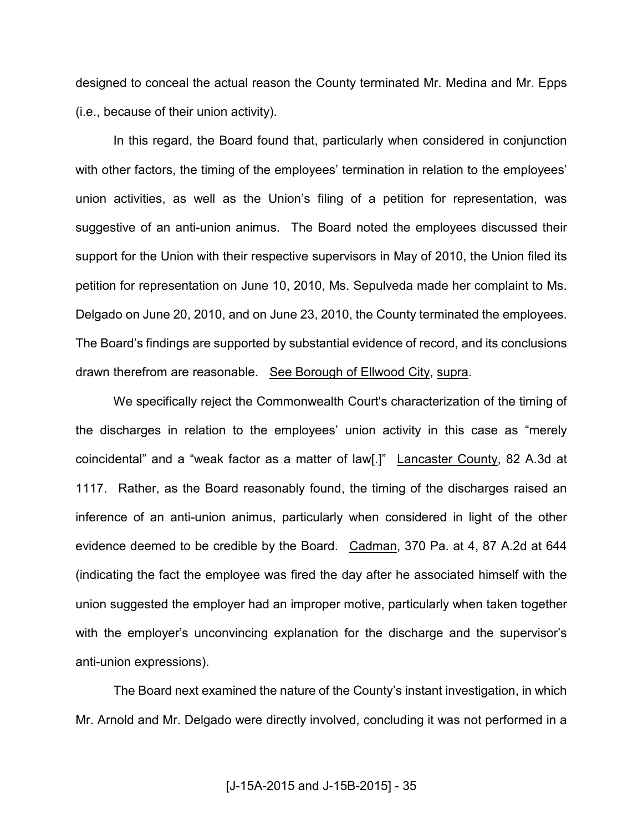designed to conceal the actual reason the County terminated Mr. Medina and Mr. Epps (i.e., because of their union activity).

 In this regard, the Board found that, particularly when considered in conjunction with other factors, the timing of the employees' termination in relation to the employees' union activities, as well as the Union's filing of a petition for representation, was suggestive of an anti-union animus. The Board noted the employees discussed their support for the Union with their respective supervisors in May of 2010, the Union filed its petition for representation on June 10, 2010, Ms. Sepulveda made her complaint to Ms. Delgado on June 20, 2010, and on June 23, 2010, the County terminated the employees. The Board's findings are supported by substantial evidence of record, and its conclusions drawn therefrom are reasonable. See Borough of Ellwood City, supra.

 We specifically reject the Commonwealth Court's characterization of the timing of the discharges in relation to the employees' union activity in this case as "merely coincidental" and a "weak factor as a matter of law[.]" Lancaster County, 82 A.3d at 1117. Rather, as the Board reasonably found, the timing of the discharges raised an inference of an anti-union animus, particularly when considered in light of the other evidence deemed to be credible by the Board. Cadman, 370 Pa. at 4, 87 A.2d at 644 (indicating the fact the employee was fired the day after he associated himself with the union suggested the employer had an improper motive, particularly when taken together with the employer's unconvincing explanation for the discharge and the supervisor's anti-union expressions).

 The Board next examined the nature of the County's instant investigation, in which Mr. Arnold and Mr. Delgado were directly involved, concluding it was not performed in a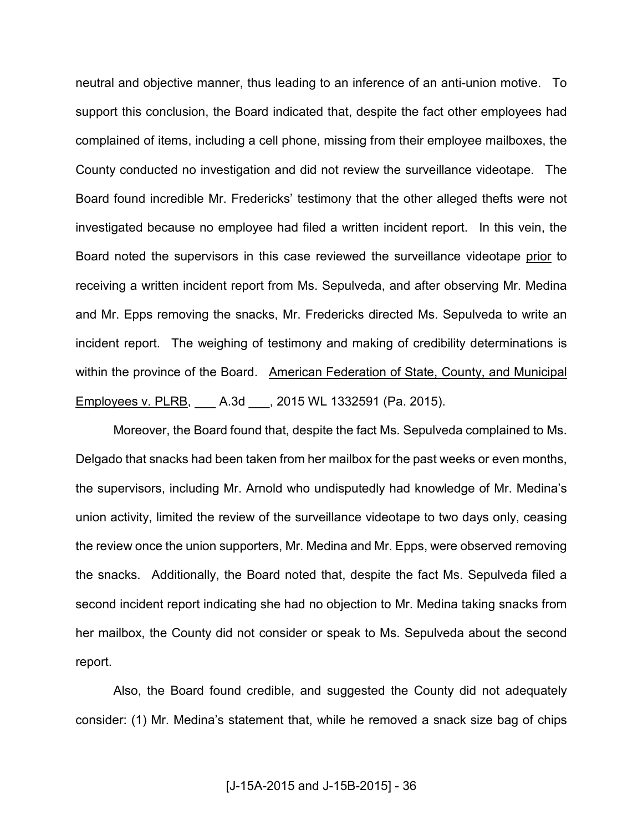neutral and objective manner, thus leading to an inference of an anti-union motive. To support this conclusion, the Board indicated that, despite the fact other employees had complained of items, including a cell phone, missing from their employee mailboxes, the County conducted no investigation and did not review the surveillance videotape. The Board found incredible Mr. Fredericks' testimony that the other alleged thefts were not investigated because no employee had filed a written incident report. In this vein, the Board noted the supervisors in this case reviewed the surveillance videotape prior to receiving a written incident report from Ms. Sepulveda, and after observing Mr. Medina and Mr. Epps removing the snacks, Mr. Fredericks directed Ms. Sepulveda to write an incident report. The weighing of testimony and making of credibility determinations is within the province of the Board. American Federation of State, County, and Municipal Employees v. PLRB, \_\_\_ A.3d \_\_\_, 2015 WL 1332591 (Pa. 2015).

 Moreover, the Board found that, despite the fact Ms. Sepulveda complained to Ms. Delgado that snacks had been taken from her mailbox for the past weeks or even months, the supervisors, including Mr. Arnold who undisputedly had knowledge of Mr. Medina's union activity, limited the review of the surveillance videotape to two days only, ceasing the review once the union supporters, Mr. Medina and Mr. Epps, were observed removing the snacks. Additionally, the Board noted that, despite the fact Ms. Sepulveda filed a second incident report indicating she had no objection to Mr. Medina taking snacks from her mailbox, the County did not consider or speak to Ms. Sepulveda about the second report.

 Also, the Board found credible, and suggested the County did not adequately consider: (1) Mr. Medina's statement that, while he removed a snack size bag of chips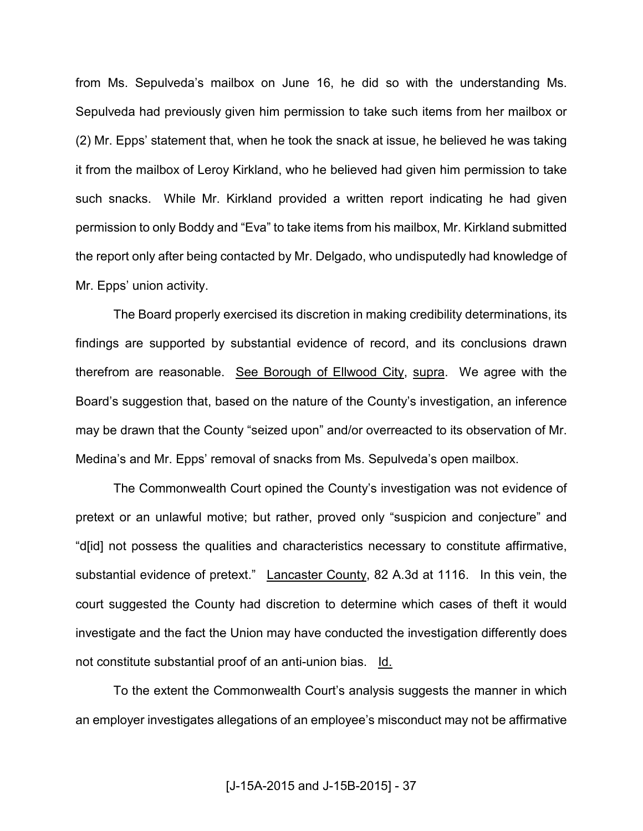from Ms. Sepulveda's mailbox on June 16, he did so with the understanding Ms. Sepulveda had previously given him permission to take such items from her mailbox or (2) Mr. Epps' statement that, when he took the snack at issue, he believed he was taking it from the mailbox of Leroy Kirkland, who he believed had given him permission to take such snacks. While Mr. Kirkland provided a written report indicating he had given permission to only Boddy and "Eva" to take items from his mailbox, Mr. Kirkland submitted the report only after being contacted by Mr. Delgado, who undisputedly had knowledge of Mr. Epps' union activity.

 The Board properly exercised its discretion in making credibility determinations, its findings are supported by substantial evidence of record, and its conclusions drawn therefrom are reasonable. See Borough of Ellwood City, supra. We agree with the Board's suggestion that, based on the nature of the County's investigation, an inference may be drawn that the County "seized upon" and/or overreacted to its observation of Mr. Medina's and Mr. Epps' removal of snacks from Ms. Sepulveda's open mailbox.

 The Commonwealth Court opined the County's investigation was not evidence of pretext or an unlawful motive; but rather, proved only "suspicion and conjecture" and "d[id] not possess the qualities and characteristics necessary to constitute affirmative, substantial evidence of pretext." Lancaster County, 82 A.3d at 1116. In this vein, the court suggested the County had discretion to determine which cases of theft it would investigate and the fact the Union may have conducted the investigation differently does not constitute substantial proof of an anti-union bias. Id.

 To the extent the Commonwealth Court's analysis suggests the manner in which an employer investigates allegations of an employee's misconduct may not be affirmative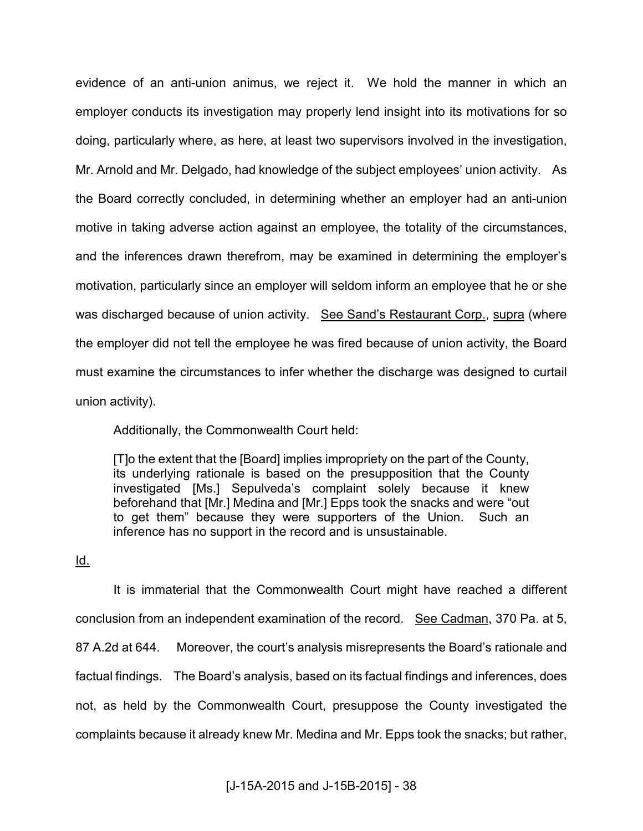evidence of an anti-union animus, we reject it. We hold the manner in which an employer conducts its investigation may properly lend insight into its motivations for so doing, particularly where, as here, at least two supervisors involved in the investigation, Mr. Arnold and Mr. Delgado, had knowledge of the subject employees' union activity. As the Board correctly concluded, in determining whether an employer had an anti-union motive in taking adverse action against an employee, the totality of the circumstances, and the inferences drawn therefrom, may be examined in determining the employer's motivation, particularly since an employer will seldom inform an employee that he or she was discharged because of union activity. See Sand's Restaurant Corp., supra (where the employer did not tell the employee he was fired because of union activity, the Board must examine the circumstances to infer whether the discharge was designed to curtail union activity).

Additionally, the Commonwealth Court held:

[T]o the extent that the [Board] implies impropriety on the part of the County, its underlying rationale is based on the presupposition that the County investigated [Ms.] Sepulveda's complaint solely because it knew beforehand that [Mr.] Medina and [Mr.] Epps took the snacks and were "out to get them" because they were supporters of the Union. Such an inference has no support in the record and is unsustainable.

### Id.

 It is immaterial that the Commonwealth Court might have reached a different conclusion from an independent examination of the record. See Cadman, 370 Pa. at 5, 87 A.2d at 644. Moreover, the court's analysis misrepresents the Board's rationale and factual findings. The Board's analysis, based on its factual findings and inferences, does not, as held by the Commonwealth Court, presuppose the County investigated the complaints because it already knew Mr. Medina and Mr. Epps took the snacks; but rather,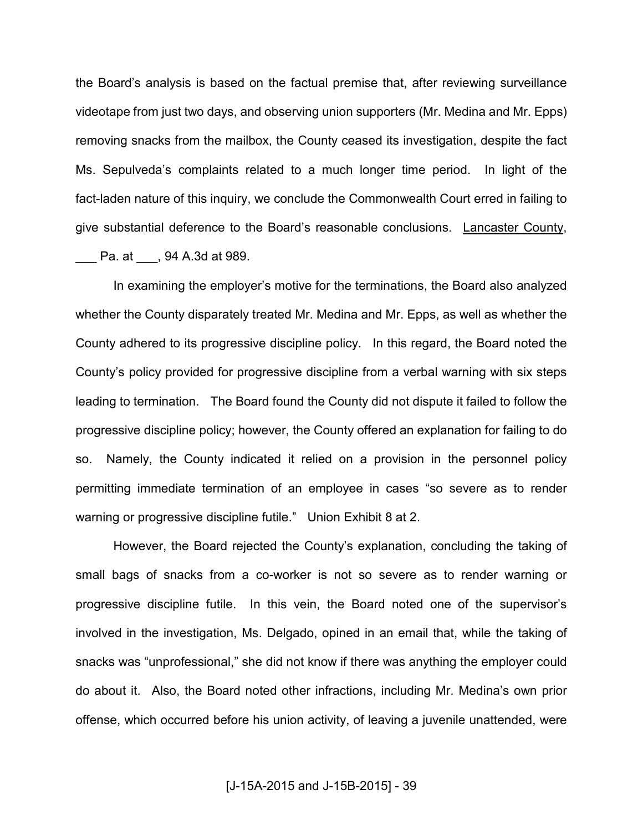the Board's analysis is based on the factual premise that, after reviewing surveillance videotape from just two days, and observing union supporters (Mr. Medina and Mr. Epps) removing snacks from the mailbox, the County ceased its investigation, despite the fact Ms. Sepulveda's complaints related to a much longer time period. In light of the fact-laden nature of this inquiry, we conclude the Commonwealth Court erred in failing to give substantial deference to the Board's reasonable conclusions. Lancaster County, \_\_\_ Pa. at \_\_\_, 94 A.3d at 989.

 In examining the employer's motive for the terminations, the Board also analyzed whether the County disparately treated Mr. Medina and Mr. Epps, as well as whether the County adhered to its progressive discipline policy. In this regard, the Board noted the County's policy provided for progressive discipline from a verbal warning with six steps leading to termination. The Board found the County did not dispute it failed to follow the progressive discipline policy; however, the County offered an explanation for failing to do so. Namely, the County indicated it relied on a provision in the personnel policy permitting immediate termination of an employee in cases "so severe as to render warning or progressive discipline futile." Union Exhibit 8 at 2.

 However, the Board rejected the County's explanation, concluding the taking of small bags of snacks from a co-worker is not so severe as to render warning or progressive discipline futile. In this vein, the Board noted one of the supervisor's involved in the investigation, Ms. Delgado, opined in an email that, while the taking of snacks was "unprofessional," she did not know if there was anything the employer could do about it. Also, the Board noted other infractions, including Mr. Medina's own prior offense, which occurred before his union activity, of leaving a juvenile unattended, were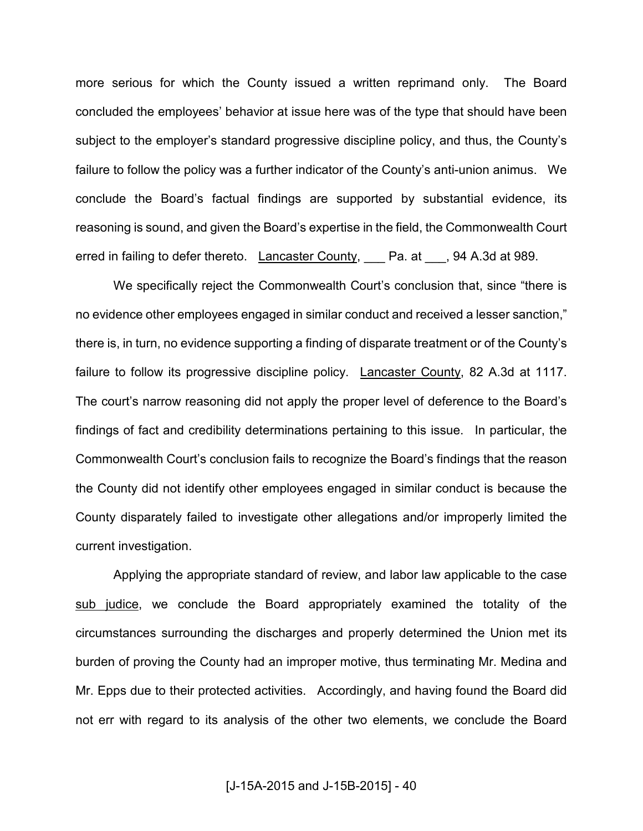more serious for which the County issued a written reprimand only. The Board concluded the employees' behavior at issue here was of the type that should have been subject to the employer's standard progressive discipline policy, and thus, the County's failure to follow the policy was a further indicator of the County's anti-union animus. We conclude the Board's factual findings are supported by substantial evidence, its reasoning is sound, and given the Board's expertise in the field, the Commonwealth Court erred in failing to defer thereto. Lancaster County, Pa. at Super 94 A.3d at 989.

We specifically reject the Commonwealth Court's conclusion that, since "there is no evidence other employees engaged in similar conduct and received a lesser sanction," there is, in turn, no evidence supporting a finding of disparate treatment or of the County's failure to follow its progressive discipline policy. Lancaster County, 82 A.3d at 1117. The court's narrow reasoning did not apply the proper level of deference to the Board's findings of fact and credibility determinations pertaining to this issue. In particular, the Commonwealth Court's conclusion fails to recognize the Board's findings that the reason the County did not identify other employees engaged in similar conduct is because the County disparately failed to investigate other allegations and/or improperly limited the current investigation.

Applying the appropriate standard of review, and labor law applicable to the case sub judice, we conclude the Board appropriately examined the totality of the circumstances surrounding the discharges and properly determined the Union met its burden of proving the County had an improper motive, thus terminating Mr. Medina and Mr. Epps due to their protected activities. Accordingly, and having found the Board did not err with regard to its analysis of the other two elements, we conclude the Board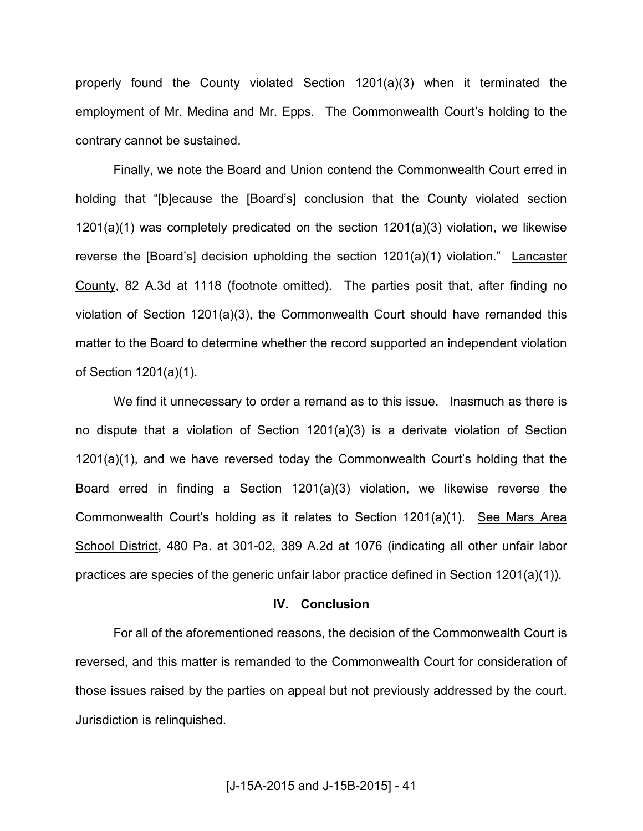properly found the County violated Section 1201(a)(3) when it terminated the employment of Mr. Medina and Mr. Epps. The Commonwealth Court's holding to the contrary cannot be sustained.

Finally, we note the Board and Union contend the Commonwealth Court erred in holding that "[b]ecause the [Board's] conclusion that the County violated section 1201(a)(1) was completely predicated on the section 1201(a)(3) violation, we likewise reverse the [Board's] decision upholding the section 1201(a)(1) violation." Lancaster County, 82 A.3d at 1118 (footnote omitted). The parties posit that, after finding no violation of Section 1201(a)(3), the Commonwealth Court should have remanded this matter to the Board to determine whether the record supported an independent violation of Section 1201(a)(1).

We find it unnecessary to order a remand as to this issue. Inasmuch as there is no dispute that a violation of Section 1201(a)(3) is a derivate violation of Section 1201(a)(1), and we have reversed today the Commonwealth Court's holding that the Board erred in finding a Section 1201(a)(3) violation, we likewise reverse the Commonwealth Court's holding as it relates to Section 1201(a)(1). See Mars Area School District, 480 Pa. at 301-02, 389 A.2d at 1076 (indicating all other unfair labor practices are species of the generic unfair labor practice defined in Section 1201(a)(1)).

#### **IV. Conclusion**

 For all of the aforementioned reasons, the decision of the Commonwealth Court is reversed, and this matter is remanded to the Commonwealth Court for consideration of those issues raised by the parties on appeal but not previously addressed by the court. Jurisdiction is relinquished.